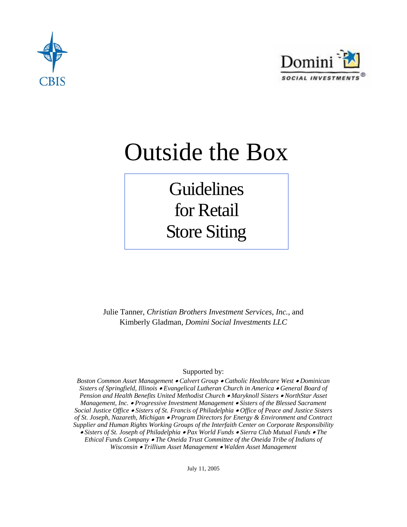



# Outside the Box

**Guidelines** for Retail Store Siting

Julie Tanner, *Christian Brothers Investment Services, Inc.*, and Kimberly Gladman, *Domini Social Investments LLC*

#### Supported by:

*Boston Common Asset Management* • *Calvert Group* • *Catholic Healthcare West* • *Dominican Sisters of Springfield, Illinois* • *Evangelical Lutheran Church in America* • *General Board of Pension and Health Benefits United Methodist Church* • *Maryknoll Sisters* • *NorthStar Asset Management, Inc.* • *Progressive Investment Management* • *Sisters of the Blessed Sacrament Social Justice Office* • *Sisters of St. Francis of Philadelphia* • *Office of Peace and Justice Sisters of St. Joseph, Nazareth, Michigan* • *Program Directors for Energy & Environment and Contract Supplier and Human Rights Working Groups of the Interfaith Center on Corporate Responsibility*  • *Sisters of St. Joseph of Philadelphia* • *Pax World Funds* • *Sierra Club Mutual Funds* • *The Ethical Funds Company* • *The Oneida Trust Committee of the Oneida Tribe of Indians of Wisconsin* • *Trillium Asset Management* • *Walden Asset Management*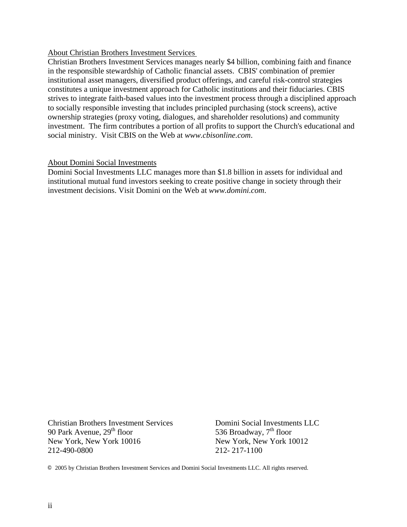#### About Christian Brothers Investment Services

Christian Brothers Investment Services manages nearly \$4 billion, combining faith and finance in the responsible stewardship of Catholic financial assets. CBIS' combination of premier institutional asset managers, diversified product offerings, and careful risk-control strategies constitutes a unique investment approach for Catholic institutions and their fiduciaries. CBIS strives to integrate faith-based values into the investment process through a disciplined approach to socially responsible investing that includes principled purchasing (stock screens), active ownership strategies (proxy voting, dialogues, and shareholder resolutions) and community investment. The firm contributes a portion of all profits to support the Church's educational and social ministry. Visit CBIS on the Web at *www.cbisonline.com*.

#### About Domini Social Investments

Domini Social Investments LLC manages more than \$1.8 billion in assets for individual and institutional mutual fund investors seeking to create positive change in society through their investment decisions. Visit Domini on the Web at *www.domini.com*.

Christian Brothers Investment Services Domini Social Investments LLC 90 Park Avenue,  $29^{th}$  floor 536 Broadway,  $7^{th}$  floor New York, New York 10016 New York, New York 10012 212-490-0800 212- 217-1100

© 2005 by Christian Brothers Investment Services and Domini Social Investments LLC. All rights reserved.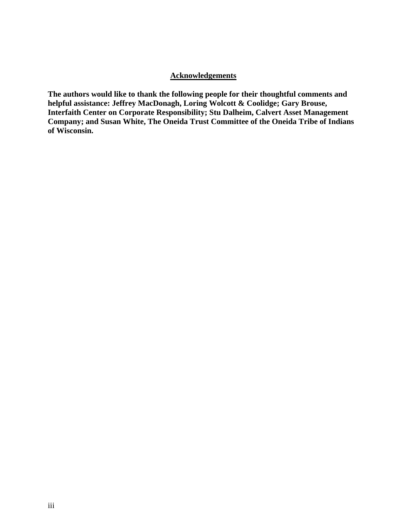#### **Acknowledgements**

**The authors would like to thank the following people for their thoughtful comments and helpful assistance: Jeffrey MacDonagh, Loring Wolcott & Coolidge; Gary Brouse, Interfaith Center on Corporate Responsibility; Stu Dalheim, Calvert Asset Management Company; and Susan White, The Oneida Trust Committee of the Oneida Tribe of Indians of Wisconsin.**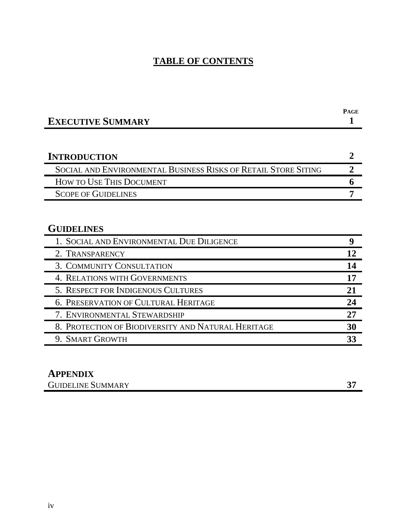# **TABLE OF CONTENTS**

| <b>EXECUTIVE SUMMARY</b>                                       | PAGE           |
|----------------------------------------------------------------|----------------|
|                                                                |                |
| <b>INTRODUCTION</b>                                            | 2              |
| SOCIAL AND ENVIRONMENTAL BUSINESS RISKS OF RETAIL STORE SITING | $\overline{2}$ |
| HOW TO USE THIS DOCUMENT                                       | 6              |
| <b>SCOPE OF GUIDELINES</b>                                     |                |
|                                                                |                |
| <b>GUIDELINES</b>                                              |                |
| 1. SOCIAL AND ENVIRONMENTAL DUE DILIGENCE                      | 9              |
| 2. TRANSPARENCY                                                | 12             |
| 3. COMMUNITY CONSULTATION                                      | 14             |
| <b>4. RELATIONS WITH GOVERNMENTS</b>                           | 17             |
| 5. RESPECT FOR INDIGENOUS CULTURES                             | 21             |
| 6. PRESERVATION OF CULTURAL HERITAGE                           | 24             |
| 7. ENVIRONMENTAL STEWARDSHIP                                   | 27             |
| 8. PROTECTION OF BIODIVERSITY AND NATURAL HERITAGE             | 30             |
| 9. SMART GROWTH                                                | 33             |

# **APPENDIX**

| $\sqrt{D}V$<br>$\mathbf{v}$<br>'NH<br>١Н<br>ID<br>NA MA<br>1 AF<br>∼<br>È |  |
|---------------------------------------------------------------------------|--|
|                                                                           |  |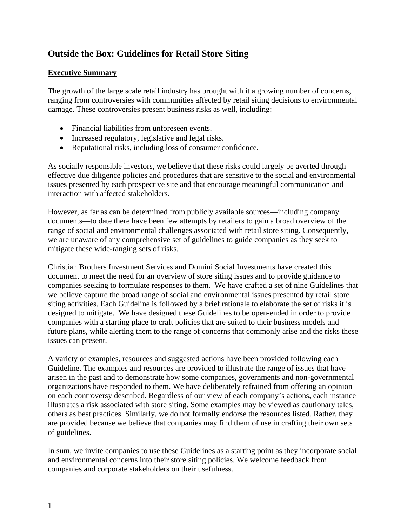# **Outside the Box: Guidelines for Retail Store Siting**

#### **Executive Summary**

The growth of the large scale retail industry has brought with it a growing number of concerns, ranging from controversies with communities affected by retail siting decisions to environmental damage. These controversies present business risks as well, including:

- Financial liabilities from unforeseen events.
- Increased regulatory, legislative and legal risks.
- Reputational risks, including loss of consumer confidence.

As socially responsible investors, we believe that these risks could largely be averted through effective due diligence policies and procedures that are sensitive to the social and environmental issues presented by each prospective site and that encourage meaningful communication and interaction with affected stakeholders.

However, as far as can be determined from publicly available sources—including company documents—to date there have been few attempts by retailers to gain a broad overview of the range of social and environmental challenges associated with retail store siting. Consequently, we are unaware of any comprehensive set of guidelines to guide companies as they seek to mitigate these wide-ranging sets of risks.

Christian Brothers Investment Services and Domini Social Investments have created this document to meet the need for an overview of store siting issues and to provide guidance to companies seeking to formulate responses to them. We have crafted a set of nine Guidelines that we believe capture the broad range of social and environmental issues presented by retail store siting activities. Each Guideline is followed by a brief rationale to elaborate the set of risks it is designed to mitigate. We have designed these Guidelines to be open-ended in order to provide companies with a starting place to craft policies that are suited to their business models and future plans, while alerting them to the range of concerns that commonly arise and the risks these issues can present.

A variety of examples, resources and suggested actions have been provided following each Guideline. The examples and resources are provided to illustrate the range of issues that have arisen in the past and to demonstrate how some companies, governments and non-governmental organizations have responded to them. We have deliberately refrained from offering an opinion on each controversy described. Regardless of our view of each company's actions, each instance illustrates a risk associated with store siting. Some examples may be viewed as cautionary tales, others as best practices. Similarly, we do not formally endorse the resources listed. Rather, they are provided because we believe that companies may find them of use in crafting their own sets of guidelines.

In sum, we invite companies to use these Guidelines as a starting point as they incorporate social and environmental concerns into their store siting policies. We welcome feedback from companies and corporate stakeholders on their usefulness.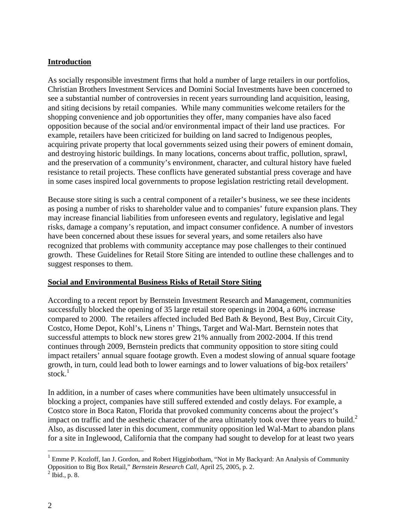#### **Introduction**

As socially responsible investment firms that hold a number of large retailers in our portfolios, Christian Brothers Investment Services and Domini Social Investments have been concerned to see a substantial number of controversies in recent years surrounding land acquisition, leasing, and siting decisions by retail companies. While many communities welcome retailers for the shopping convenience and job opportunities they offer, many companies have also faced opposition because of the social and/or environmental impact of their land use practices. For example, retailers have been criticized for building on land sacred to Indigenous peoples, acquiring private property that local governments seized using their powers of eminent domain, and destroying historic buildings. In many locations, concerns about traffic, pollution, sprawl, and the preservation of a community's environment, character, and cultural history have fueled resistance to retail projects. These conflicts have generated substantial press coverage and have in some cases inspired local governments to propose legislation restricting retail development.

Because store siting is such a central component of a retailer's business, we see these incidents as posing a number of risks to shareholder value and to companies' future expansion plans. They may increase financial liabilities from unforeseen events and regulatory, legislative and legal risks, damage a company's reputation, and impact consumer confidence. A number of investors have been concerned about these issues for several years, and some retailers also have recognized that problems with community acceptance may pose challenges to their continued growth. These Guidelines for Retail Store Siting are intended to outline these challenges and to suggest responses to them.

#### **Social and Environmental Business Risks of Retail Store Siting**

According to a recent report by Bernstein Investment Research and Management, communities successfully blocked the opening of 35 large retail store openings in 2004, a 60% increase compared to 2000. The retailers affected included Bed Bath & Beyond, Best Buy, Circuit City, Costco, Home Depot, Kohl's, Linens n' Things, Target and Wal-Mart. Bernstein notes that successful attempts to block new stores grew 21% annually from 2002-2004. If this trend continues through 2009, Bernstein predicts that community opposition to store siting could impact retailers' annual square footage growth. Even a modest slowing of annual square footage growth, in turn, could lead both to lower earnings and to lower valuations of big-box retailers' stock. $1$ 

In addition, in a number of cases where communities have been ultimately unsuccessful in blocking a project, companies have still suffered extended and costly delays. For example, a Costco store in Boca Raton, Florida that provoked community concerns about the project's impact on traffic and the aesthetic character of the area ultimately took over three years to build.<sup>2</sup> Also, as discussed later in this document, community opposition led Wal-Mart to abandon plans for a site in Inglewood, California that the company had sought to develop for at least two years

 $\overline{a}$ 

<span id="page-5-0"></span><sup>&</sup>lt;sup>1</sup> Emme P. Kozloff, Ian J. Gordon, and Robert Higginbotham, "Not in My Backyard: An Analysis of Community Opposition to Big Box Retail," *Bernstein Research Call*, April 25, 2005, p. 2.

<span id="page-5-1"></span> $<sup>2</sup>$  Ibid., p. 8.</sup>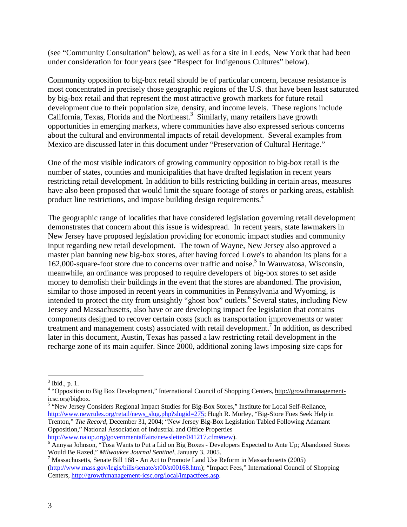(see "Community Consultation" below), as well as for a site in Leeds, New York that had been under consideration for four years (see "Respect for Indigenous Cultures" below).

Community opposition to big-box retail should be of particular concern, because resistance is most concentrated in precisely those geographic regions of the U.S. that have been least saturated by big-box retail and that represent the most attractive growth markets for future retail development due to their population size, density, and income levels. These regions include California, Texas, Florida and the Northeast.<sup>[3](#page-6-0)</sup> Similarly, many retailers have growth opportunities in emerging markets, where communities have also expressed serious concerns about the cultural and environmental impacts of retail development. Several examples from Mexico are discussed later in this document under "Preservation of Cultural Heritage."

One of the most visible indicators of growing community opposition to big-box retail is the number of states, counties and municipalities that have drafted legislation in recent years restricting retail development. In addition to bills restricting building in certain areas, measures have also been proposed that would limit the square footage of stores or parking areas, establish product line restrictions, and impose building design requirements.<sup>[4](#page-6-1)</sup>

The geographic range of localities that have considered legislation governing retail development demonstrates that concern about this issue is widespread. In recent years, state lawmakers in New Jersey have proposed legislation providing for economic impact studies and community input regarding new retail development. The town of Wayne, New Jersey also approved a master plan banning new big-box stores, after having forced Lowe's to abandon its plans for a 162,000-square-foot store due to concerns over traffic and noise.<sup>[5](#page-6-2)</sup> In Wauwatosa, Wisconsin, meanwhile, an ordinance was proposed to require developers of big-box stores to set aside money to demolish their buildings in the event that the stores are abandoned. The provision, similar to those imposed in recent years in communities in Pennsylvania and Wyoming, is intended to protect the city from unsightly "ghost box" outlets.<sup>[6](#page-6-3)</sup> Several states, including New Jersey and Massachusetts, also have or are developing impact fee legislation that contains components designed to recover certain costs (such as transportation improvements or water treatment and management costs) associated with retail development.<sup>7</sup> In addition, as described later in this document, Austin, Texas has passed a law restricting retail development in the recharge zone of its main aquifer. Since 2000, additional zoning laws imposing size caps for

 $\overline{a}$ 

<span id="page-6-2"></span><sup>5</sup> "New Jersey Considers Regional Impact Studies for Big-Box Stores," Institute for Local Self-Reliance, [http://www.newrules.org/retail/news\\_slug.php?slugid=275](http://www.newrules.org/retail/news_slug.php?slugid=275); Hugh R. Morley, "Big-Store Foes Seek Help in Trenton," *The Record,* December 31, 2004; "New Jersey Big-Box Legislation Tabled Following Adamant Opposition," National Association of Industrial and Office Properties http://www.naiop.org/governmentaffairs/newsletter/041217.cfm#new).

<span id="page-6-0"></span> $<sup>3</sup>$  Ibid., p. 1.</sup>

<span id="page-6-1"></span><sup>&</sup>quot;Opposition to Big Box Development," International Council of Shopping Centers, http://growthmanagementicsc.org/bigbox.

<span id="page-6-3"></span><sup>&</sup>lt;sup>6</sup> Annysa Johnson, "Tosa Wants to Put a Lid on Big Boxes - Developers Expected to Ante Up; Abandoned Stores

<span id="page-6-4"></span>Would Be Razed," *Milwaukee Journal Sentinel,* January 3, 2005. 7 Massachusetts, Senate Bill <sup>168</sup> **-** An Act to Promote Land Use Reform in Massachusetts (2005) [\(http://www.mass.gov/legis/bills/senate/st00/st00168.htm](http://www.mass.gov/legis/bills/senate/st00/st00168.htm)); "Impact Fees," International Council of Shopping Centers, [http://growthmanagement-icsc.org/local/impactfees.asp.](http://growthmanagement-icsc.org/local/impactfees.asp)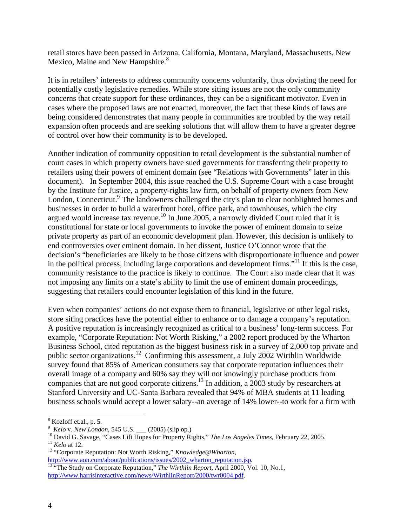retail stores have been passed in Arizona, California, Montana, Maryland, Massachusetts, New Mexico, Maine and New Hampshire.<sup>[8](#page-7-0)</sup>

It is in retailers' interests to address community concerns voluntarily, thus obviating the need for potentially costly legislative remedies. While store siting issues are not the only community concerns that create support for these ordinances, they can be a significant motivator. Even in cases where the proposed laws are not enacted, moreover, the fact that these kinds of laws are being considered demonstrates that many people in communities are troubled by the way retail expansion often proceeds and are seeking solutions that will allow them to have a greater degree of control over how their community is to be developed.

Another indication of community opposition to retail development is the substantial number of court cases in which property owners have sued governments for transferring their property to retailers using their powers of eminent domain (see "Relations with Governments" later in this document). In September 2004, this issue reached the U.S. Supreme Court with a case brought by the Institute for Justice, a property-rights law firm, on behalf of property owners from New London, Connecticut.<sup>9</sup> The landowners challenged the city's plan to clear nonblighted homes and businesses in order to build a waterfront hotel, office park, and townhouses, which the city argued would increase tax revenue.<sup>10</sup> In June 2005, a narrowly divided Court ruled that it is constitutional for state or local governments to invoke the power of eminent domain to seize private property as part of an economic development plan. However, this decision is unlikely to end controversies over eminent domain. In her dissent, Justice O'Connor wrote that the decision's "beneficiaries are likely to be those citizens with disproportionate influence and power in the political process, including large corporations and development firms."[11](#page-7-3) If this is the case, community resistance to the practice is likely to continue. The Court also made clear that it was not imposing any limits on a state's ability to limit the use of eminent domain proceedings, suggesting that retailers could encounter legislation of this kind in the future.

Even when companies' actions do not expose them to financial, legislative or other legal risks, store siting practices have the potential either to enhance or to damage a company's reputation. A positive reputation is increasingly recognized as critical to a business' long-term success. For example, "Corporate Reputation: Not Worth Risking," a 2002 report produced by the Wharton Business School, cited reputation as the biggest business risk in a survey of 2,000 top private and public sector organizations[.12](#page-7-4) Confirming this assessment, a July 2002 Wirthlin Worldwide survey found that 85% of American consumers say that corporate reputation influences their overall image of a company and 60% say they will not knowingly purchase products from companies that are not good corporate citizens[.13](#page-7-5) In addition, a 2003 study by researchers at Stanford University and UC-Santa Barbara revealed that 94% of MBA students at 11 leading business schools would accept a lower salary--an average of 14% lower--to work for a firm with

1

<span id="page-7-0"></span> $\frac{8}{9}$  Kozloff et.al., p. 5.

<span id="page-7-1"></span>

<span id="page-7-2"></span>

<span id="page-7-4"></span><span id="page-7-3"></span>

<sup>&</sup>lt;sup>9</sup> Kelo v. New London, 545 U.S. \_\_\_ (2005) (slip op.)<br><sup>10</sup> David G. Savage, "Cases Lift Hopes for Property Rights," *The Los Angeles Times*, February 22, 2005.<br><sup>11</sup> Kelo at 12.<br><sup>12</sup> "Corporate Reputation: Not Worth Riski

<span id="page-7-5"></span><sup>&</sup>lt;sup>[13](http://www.aon.com/about/publications/issues/2002_wharton_reputation.jsp)</sup> "The Study on Corporate Reputation," *The Wirthlin Report,* April 2000, Vol. 10, No.1, [http://www.harrisinteractive.com/news/WirthlinReport/2000/twr0004.pdf.](http://www.harrisinteractive.com/news/WirthlinReport/2000/twr0004.pdf)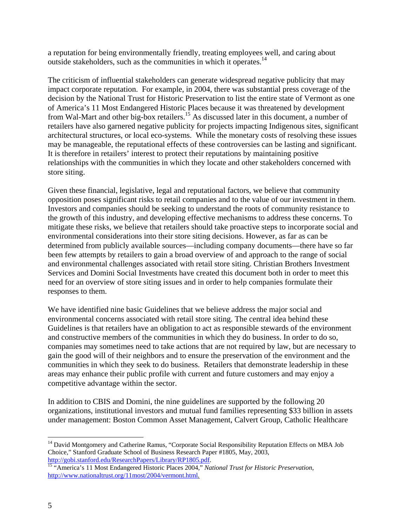a reputation for being environmentally friendly, treating employees well, and caring about outside stakeholders, such as the communities in which it operates.<sup>14</sup>

The criticism of influential stakeholders can generate widespread negative publicity that may impact corporate reputation. For example, in 2004, there was substantial press coverage of the decision by the National Trust for Historic Preservation to list the entire state of Vermont as one of America's 11 Most Endangered Historic Places because it was threatened by development from Wal-Mart and other big-box retailers.[15](#page-8-1) As discussed later in this document, a number of retailers have also garnered negative publicity for projects impacting Indigenous sites, significant architectural structures, or local eco-systems. While the monetary costs of resolving these issues may be manageable, the reputational effects of these controversies can be lasting and significant. It is therefore in retailers' interest to protect their reputations by maintaining positive relationships with the communities in which they locate and other stakeholders concerned with store siting.

Given these financial, legislative, legal and reputational factors, we believe that community opposition poses significant risks to retail companies and to the value of our investment in them. Investors and companies should be seeking to understand the roots of community resistance to the growth of this industry, and developing effective mechanisms to address these concerns. To mitigate these risks, we believe that retailers should take proactive steps to incorporate social and environmental considerations into their store siting decisions. However, as far as can be determined from publicly available sources—including company documents—there have so far been few attempts by retailers to gain a broad overview of and approach to the range of social and environmental challenges associated with retail store siting. Christian Brothers Investment Services and Domini Social Investments have created this document both in order to meet this need for an overview of store siting issues and in order to help companies formulate their responses to them.

We have identified nine basic Guidelines that we believe address the major social and environmental concerns associated with retail store siting. The central idea behind these Guidelines is that retailers have an obligation to act as responsible stewards of the environment and constructive members of the communities in which they do business. In order to do so, companies may sometimes need to take actions that are not required by law, but are necessary to gain the good will of their neighbors and to ensure the preservation of the environment and the communities in which they seek to do business. Retailers that demonstrate leadership in these areas may enhance their public profile with current and future customers and may enjoy a competitive advantage within the sector.

In addition to CBIS and Domini, the nine guidelines are supported by the following 20 organizations, institutional investors and mutual fund families representing \$33 billion in assets under management: Boston Common Asset Management, Calvert Group, Catholic Healthcare

 $\overline{a}$ 

<span id="page-8-0"></span><sup>&</sup>lt;sup>14</sup> David Montgomery and Catherine Ramus, "Corporate Social Responsibility Reputation Effects on MBA Job Choice," Stanford Graduate School of Business Research Paper #1805, May, 2003, http://gobi.stanford.edu/ResearchPapers/Library/RP1805.pdf.

<span id="page-8-1"></span>[<sup>15</sup>](http://gobi.stanford.edu/ResearchPapers/Library/RP1805.pdf) "America's 11 Most Endangered Historic Places 2004," *National Trust for Historic Preservation*, [http://www.nationaltrust.org/11most/2004/vermont.html.](http://www.nationaltrust.org/11most/2004/vermont.html)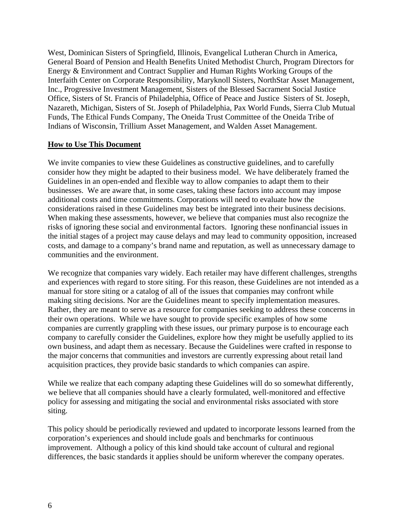West, Dominican Sisters of Springfield, Illinois, Evangelical Lutheran Church in America, General Board of Pension and Health Benefits United Methodist Church, Program Directors for Energy & Environment and Contract Supplier and Human Rights Working Groups of the Interfaith Center on Corporate Responsibility, Maryknoll Sisters, NorthStar Asset Management, Inc., Progressive Investment Management, Sisters of the Blessed Sacrament Social Justice Office, Sisters of St. Francis of Philadelphia, Office of Peace and Justice Sisters of St. Joseph, Nazareth, Michigan, Sisters of St. Joseph of Philadelphia, Pax World Funds, Sierra Club Mutual Funds, The Ethical Funds Company, The Oneida Trust Committee of the Oneida Tribe of Indians of Wisconsin, Trillium Asset Management, and Walden Asset Management.

#### **How to Use This Document**

We invite companies to view these Guidelines as constructive guidelines, and to carefully consider how they might be adapted to their business model. We have deliberately framed the Guidelines in an open-ended and flexible way to allow companies to adapt them to their businesses. We are aware that, in some cases, taking these factors into account may impose additional costs and time commitments. Corporations will need to evaluate how the considerations raised in these Guidelines may best be integrated into their business decisions. When making these assessments, however, we believe that companies must also recognize the risks of ignoring these social and environmental factors. Ignoring these nonfinancial issues in the initial stages of a project may cause delays and may lead to community opposition, increased costs, and damage to a company's brand name and reputation, as well as unnecessary damage to communities and the environment.

We recognize that companies vary widely. Each retailer may have different challenges, strengths and experiences with regard to store siting. For this reason, these Guidelines are not intended as a manual for store siting or a catalog of all of the issues that companies may confront while making siting decisions. Nor are the Guidelines meant to specify implementation measures. Rather, they are meant to serve as a resource for companies seeking to address these concerns in their own operations. While we have sought to provide specific examples of how some companies are currently grappling with these issues, our primary purpose is to encourage each company to carefully consider the Guidelines, explore how they might be usefully applied to its own business, and adapt them as necessary. Because the Guidelines were crafted in response to the major concerns that communities and investors are currently expressing about retail land acquisition practices, they provide basic standards to which companies can aspire.

While we realize that each company adapting these Guidelines will do so somewhat differently, we believe that all companies should have a clearly formulated, well-monitored and effective policy for assessing and mitigating the social and environmental risks associated with store siting.

This policy should be periodically reviewed and updated to incorporate lessons learned from the corporation's experiences and should include goals and benchmarks for continuous improvement. Although a policy of this kind should take account of cultural and regional differences, the basic standards it applies should be uniform wherever the company operates.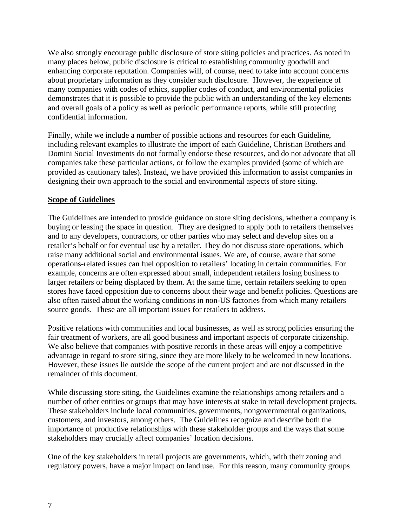We also strongly encourage public disclosure of store siting policies and practices. As noted in many places below, public disclosure is critical to establishing community goodwill and enhancing corporate reputation. Companies will, of course, need to take into account concerns about proprietary information as they consider such disclosure. However, the experience of many companies with codes of ethics, supplier codes of conduct, and environmental policies demonstrates that it is possible to provide the public with an understanding of the key elements and overall goals of a policy as well as periodic performance reports, while still protecting confidential information.

Finally, while we include a number of possible actions and resources for each Guideline, including relevant examples to illustrate the import of each Guideline, Christian Brothers and Domini Social Investments do not formally endorse these resources, and do not advocate that all companies take these particular actions, or follow the examples provided (some of which are provided as cautionary tales). Instead, we have provided this information to assist companies in designing their own approach to the social and environmental aspects of store siting.

#### **Scope of Guidelines**

The Guidelines are intended to provide guidance on store siting decisions, whether a company is buying or leasing the space in question. They are designed to apply both to retailers themselves and to any developers, contractors, or other parties who may select and develop sites on a retailer's behalf or for eventual use by a retailer. They do not discuss store operations, which raise many additional social and environmental issues. We are, of course, aware that some operations-related issues can fuel opposition to retailers' locating in certain communities. For example, concerns are often expressed about small, independent retailers losing business to larger retailers or being displaced by them. At the same time, certain retailers seeking to open stores have faced opposition due to concerns about their wage and benefit policies. Questions are also often raised about the working conditions in non-US factories from which many retailers source goods. These are all important issues for retailers to address.

Positive relations with communities and local businesses, as well as strong policies ensuring the fair treatment of workers, are all good business and important aspects of corporate citizenship. We also believe that companies with positive records in these areas will enjoy a competitive advantage in regard to store siting, since they are more likely to be welcomed in new locations. However, these issues lie outside the scope of the current project and are not discussed in the remainder of this document.

While discussing store siting, the Guidelines examine the relationships among retailers and a number of other entities or groups that may have interests at stake in retail development projects. These stakeholders include local communities, governments, nongovernmental organizations, customers, and investors, among others. The Guidelines recognize and describe both the importance of productive relationships with these stakeholder groups and the ways that some stakeholders may crucially affect companies' location decisions.

One of the key stakeholders in retail projects are governments, which, with their zoning and regulatory powers, have a major impact on land use. For this reason, many community groups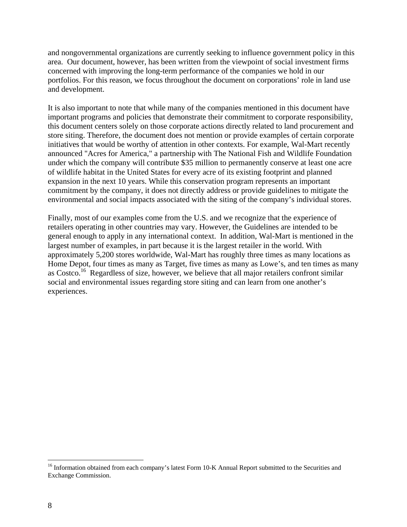and nongovernmental organizations are currently seeking to influence government policy in this area. Our document, however, has been written from the viewpoint of social investment firms concerned with improving the long-term performance of the companies we hold in our portfolios. For this reason, we focus throughout the document on corporations' role in land use and development.

It is also important to note that while many of the companies mentioned in this document have important programs and policies that demonstrate their commitment to corporate responsibility, this document centers solely on those corporate actions directly related to land procurement and store siting. Therefore, the document does not mention or provide examples of certain corporate initiatives that would be worthy of attention in other contexts. For example, Wal-Mart recently announced "Acres for America," a partnership with The National Fish and Wildlife Foundation under which the company will contribute \$35 million to permanently conserve at least one acre of wildlife habitat in the United States for every acre of its existing footprint and planned expansion in the next 10 years. While this conservation program represents an important commitment by the company, it does not directly address or provide guidelines to mitigate the environmental and social impacts associated with the siting of the company's individual stores.

Finally, most of our examples come from the U.S. and we recognize that the experience of retailers operating in other countries may vary. However, the Guidelines are intended to be general enough to apply in any international context. In addition, Wal-Mart is mentioned in the largest number of examples, in part because it is the largest retailer in the world. With approximately 5,200 stores worldwide, Wal-Mart has roughly three times as many locations as Home Depot, four times as many as Target, five times as many as Lowe's, and ten times as many as Costco.<sup>16</sup> Regardless of size, however, we believe that all major retailers confront similar social and environmental issues regarding store siting and can learn from one another's experiences.

 $\overline{a}$ 

<span id="page-11-0"></span><sup>&</sup>lt;sup>16</sup> Information obtained from each company's latest Form 10-K Annual Report submitted to the Securities and Exchange Commission.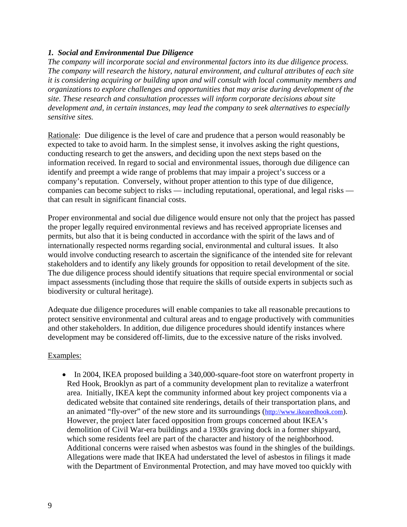# *1. Social and Environmental Due Diligence*

*The company will incorporate social and environmental factors into its due diligence process. The company will research the history, natural environment, and cultural attributes of each site it is considering acquiring or building upon and will consult with local community members and organizations to explore challenges and opportunities that may arise during development of the site. These research and consultation processes will inform corporate decisions about site development and, in certain instances, may lead the company to seek alternatives to especially sensitive sites.* 

Rationale: Due diligence is the level of care and prudence that a person would reasonably be expected to take to avoid harm. In the simplest sense, it involves asking the right questions, conducting research to get the answers, and deciding upon the next steps based on the information received. In regard to social and environmental issues, thorough due diligence can identify and preempt a wide range of problems that may impair a project's success or a company's reputation. Conversely, without proper attention to this type of due diligence, companies can become subject to risks — including reputational, operational, and legal risks that can result in significant financial costs.

Proper environmental and social due diligence would ensure not only that the project has passed the proper legally required environmental reviews and has received appropriate licenses and permits, but also that it is being conducted in accordance with the spirit of the laws and of internationally respected norms regarding social, environmental and cultural issues. It also would involve conducting research to ascertain the significance of the intended site for relevant stakeholders and to identify any likely grounds for opposition to retail development of the site. The due diligence process should identify situations that require special environmental or social impact assessments (including those that require the skills of outside experts in subjects such as biodiversity or cultural heritage).

Adequate due diligence procedures will enable companies to take all reasonable precautions to protect sensitive environmental and cultural areas and to engage productively with communities and other stakeholders. In addition, due diligence procedures should identify instances where development may be considered off-limits, due to the excessive nature of the risks involved.

#### Examples:

• In 2004, IKEA proposed building a 340,000-square-foot store on waterfront property in Red Hook, Brooklyn as part of a community development plan to revitalize a waterfront area. Initially, IKEA kept the community informed about key project components via a dedicated website that contained site renderings, details of their transportation plans, and an animated "fly-over" of the new store and its surroundings ([http://www.ikearedhook.com\)](http://www.ikearedhook.com/). However, the project later faced opposition from groups concerned about IKEA's demolition of Civil War-era buildings and a 1930s graving dock in a former shipyard, which some residents feel are part of the character and history of the neighborhood. Additional concerns were raised when asbestos was found in the shingles of the buildings. Allegations were made that IKEA had understated the level of asbestos in filings it made with the Department of Environmental Protection, and may have moved too quickly with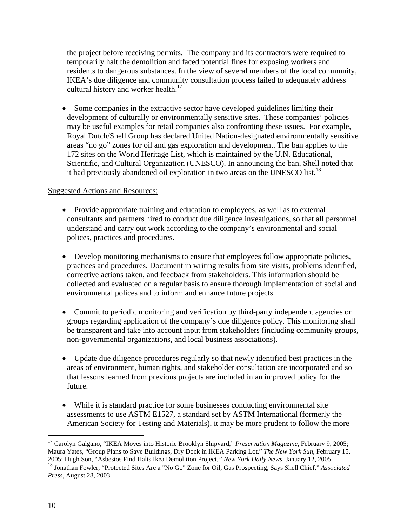the project before receiving permits. The company and its contractors were required to temporarily halt the demolition and faced potential fines for exposing workers and residents to dangerous substances. In the view of several members of the local community, IKEA's due diligence and community consultation process failed to adequately address cultural history and worker health. $17$ 

• Some companies in the extractive sector have developed guidelines limiting their development of culturally or environmentally sensitive sites. These companies' policies may be useful examples for retail companies also confronting these issues. For example, Royal Dutch/Shell Group has declared United Nation-designated environmentally sensitive areas "no go" zones for oil and gas exploration and development. The ban applies to the 172 sites on the World Heritage List, which is maintained by the U.N. Educational, Scientific, and Cultural Organization (UNESCO). In announcing the ban, Shell noted that it had previously abandoned oil exploration in two areas on the UNESCO list.<sup>18</sup>

#### Suggested Actions and Resources:

- Provide appropriate training and education to employees, as well as to external consultants and partners hired to conduct due diligence investigations, so that all personnel understand and carry out work according to the company's environmental and social polices, practices and procedures.
- Develop monitoring mechanisms to ensure that employees follow appropriate policies, practices and procedures. Document in writing results from site visits, problems identified, corrective actions taken, and feedback from stakeholders. This information should be collected and evaluated on a regular basis to ensure thorough implementation of social and environmental polices and to inform and enhance future projects.
- Commit to periodic monitoring and verification by third-party independent agencies or groups regarding application of the company's due diligence policy. This monitoring shall be transparent and take into account input from stakeholders (including community groups, non-governmental organizations, and local business associations).
- Update due diligence procedures regularly so that newly identified best practices in the areas of environment, human rights, and stakeholder consultation are incorporated and so that lessons learned from previous projects are included in an improved policy for the future.
- While it is standard practice for some businesses conducting environmental site assessments to use ASTM E1527, a standard set by ASTM International (formerly the American Society for Testing and Materials), it may be more prudent to follow the more

 $\overline{a}$ 

<span id="page-13-0"></span><sup>17</sup> Carolyn Galgano, "IKEA Moves into Historic Brooklyn Shipyard," *Preservation Magazine,* February 9, 2005; Maura Yates, "Group Plans to Save Buildings, Dry Dock in IKEA Parking Lot," *The New York Sun,* February 15, 2005; Hugh Son, "Asbestos Find Halts Ikea Demolition Project,*" New York Daily News,* January 12, 2005.

<span id="page-13-1"></span><sup>18</sup> Jonathan Fowler, "Protected Sites Are a "No Go" Zone for Oil, Gas Prospecting, Says Shell Chief," *Associated Press*, August 28, 2003.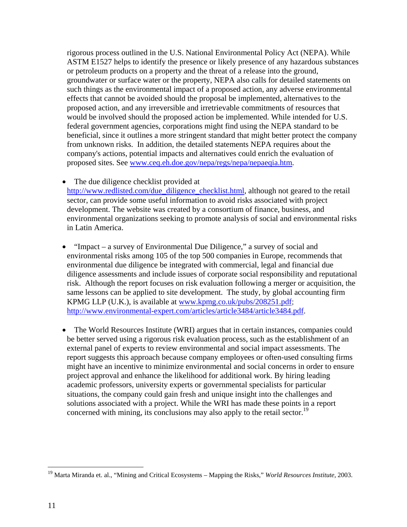rigorous process outlined in the U.S. National Environmental Policy Act (NEPA). While ASTM E1527 helps to identify the presence or likely presence of any hazardous substances or petroleum products on a property and the threat of a release into the ground, groundwater or surface water or the property, NEPA also calls for detailed statements on such things as the environmental impact of a proposed action, any adverse environmental effects that cannot be avoided should the proposal be implemented, alternatives to the proposed action, and any irreversible and irretrievable commitments of resources that would be involved should the proposed action be implemented. While intended for U.S. federal government agencies, corporations might find using the NEPA standard to be beneficial, since it outlines a more stringent standard that might better protect the company from unknown risks. In addition, the detailed statements NEPA requires about the company's actions, potential impacts and alternatives could enrich the evaluation of proposed sites. See [www.ceq.eh.doe.gov/nepa/regs/nepa/nepaeqia.htm.](http://www.ceq.eh.doe.gov/nepa/regs/nepa/nepaeqia.htm)

- The due diligence checklist provided at [http://www.redlisted.com/due\\_diligence\\_checklist.html,](http://www.redlisted.com/due_diligence_checklist.html) although not geared to the retail sector, can provide some useful information to avoid risks associated with project development. The website was created by a consortium of finance, business, and environmental organizations seeking to promote analysis of social and environmental risks in Latin America.
- "Impact a survey of Environmental Due Diligence," a survey of social and environmental risks among 105 of the top 500 companies in Europe, recommends that environmental due diligence be integrated with commercial, legal and financial due diligence assessments and include issues of corporate social responsibility and reputational risk. Although the report focuses on risk evaluation following a merger or acquisition, the same lessons can be applied to site development. The study, by global accounting firm KPMG LLP (U.K.), is available at [www.kpmg.co.uk/pubs/208251.pdf](http://www.kpmg.co.uk/pubs/208251.pdf); [http://www.environmental-expert.com/articles/article3484/article3484.pdf.](http://www.environmental-expert.com/articles/article3484/article3484.pdf)
- The World Resources Institute (WRI) argues that in certain instances, companies could be better served using a rigorous risk evaluation process, such as the establishment of an external panel of experts to review environmental and social impact assessments. The report suggests this approach because company employees or often-used consulting firms might have an incentive to minimize environmental and social concerns in order to ensure project approval and enhance the likelihood for additional work. By hiring leading academic professors, university experts or governmental specialists for particular situations, the company could gain fresh and unique insight into the challenges and solutions associated with a project. While the WRI has made these points in a report concerned with mining, its conclusions may also apply to the retail sector.<sup>19</sup>

<u>.</u>

<span id="page-14-0"></span><sup>19</sup> Marta Miranda et. al., "Mining and Critical Ecosystems – Mapping the Risks," *World Resources Institute,* 2003.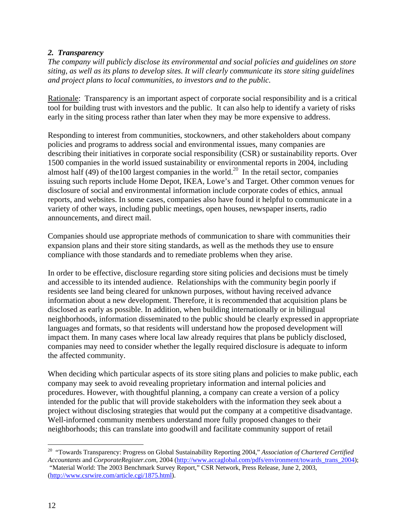### *2. Transparency*

*The company will publicly disclose its environmental and social policies and guidelines on store siting, as well as its plans to develop sites. It will clearly communicate its store siting guidelines and project plans to local communities, to investors and to the public.* 

Rationale: Transparency is an important aspect of corporate social responsibility and is a critical tool for building trust with investors and the public. It can also help to identify a variety of risks early in the siting process rather than later when they may be more expensive to address.

Responding to interest from communities, stockowners, and other stakeholders about company policies and programs to address social and environmental issues, many companies are describing their initiatives in corporate social responsibility (CSR) or sustainability reports. Over 1500 companies in the world issued sustainability or environmental reports in 2004, including almost half (49) of the 100 largest companies in the world.<sup>20</sup> In the retail sector, companies issuing such reports include Home Depot, IKEA, Lowe's and Target. Other common venues for disclosure of social and environmental information include corporate codes of ethics, annual reports, and websites. In some cases, companies also have found it helpful to communicate in a variety of other ways, including public meetings, open houses, newspaper inserts, radio announcements, and direct mail.

Companies should use appropriate methods of communication to share with communities their expansion plans and their store siting standards, as well as the methods they use to ensure compliance with those standards and to remediate problems when they arise.

In order to be effective, disclosure regarding store siting policies and decisions must be timely and accessible to its intended audience. Relationships with the community begin poorly if residents see land being cleared for unknown purposes, without having received advance information about a new development. Therefore, it is recommended that acquisition plans be disclosed as early as possible. In addition, when building internationally or in bilingual neighborhoods, information disseminated to the public should be clearly expressed in appropriate languages and formats, so that residents will understand how the proposed development will impact them. In many cases where local law already requires that plans be publicly disclosed, companies may need to consider whether the legally required disclosure is adequate to inform the affected community.

When deciding which particular aspects of its store siting plans and policies to make public, each company may seek to avoid revealing proprietary information and internal policies and procedures. However, with thoughtful planning, a company can create a version of a policy intended for the public that will provide stakeholders with the information they seek about a project without disclosing strategies that would put the company at a competitive disadvantage. Well-informed community members understand more fully proposed changes to their neighborhoods; this can translate into goodwill and facilitate community support of retail

<u>.</u>

<span id="page-15-0"></span><sup>20 &</sup>quot;Towards Transparency: Progress on Global Sustainability Reporting 2004," *Association of Chartered Certified Accountants* and *CorporateRegister.com*, 2004 ([http://www.accaglobal.com/pdfs/environment/towards\\_trans\\_2004\)](http://www.accaglobal.com/pdfs/environment/towards_trans_2004); "Material World: The 2003 Benchmark Survey Report," CSR Network, Press Release, June 2, 2003,

[<sup>\(</sup>http://www.csrwire.com/article.cgi/1875.html\)](http://www.csrwire.com/article.cgi/1875.html).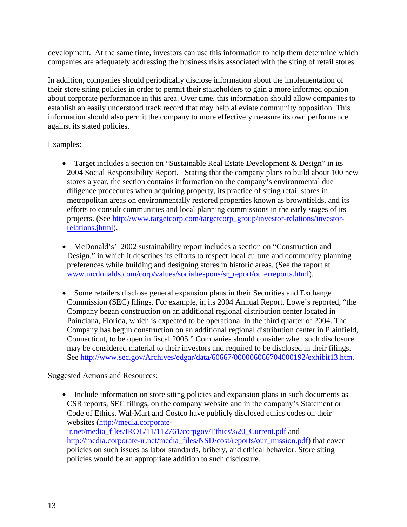development. At the same time, investors can use this information to help them determine which companies are adequately addressing the business risks associated with the siting of retail stores.

In addition, companies should periodically disclose information about the implementation of their store siting policies in order to permit their stakeholders to gain a more informed opinion about corporate performance in this area. Over time, this information should allow companies to establish an easily understood track record that may help alleviate community opposition. This information should also permit the company to more effectively measure its own performance against its stated policies.

# Examples:

- Target includes a section on "Sustainable Real Estate Development & Design" in its 2004 Social Responsibility Report. Stating that the company plans to build about 100 new stores a year, the section contains information on the company's environmental due diligence procedures when acquiring property, its practice of siting retail stores in metropolitan areas on environmentally restored properties known as brownfields, and its efforts to consult communities and local planning commissions in the early stages of its projects. (See [http://www.targetcorp.com/targetcorp\\_group/investor-relations/investor](http://www.targetcorp.com/targetcorp_group/investor-relations/investor-relations.jhtml)[relations.jhtml](http://www.targetcorp.com/targetcorp_group/investor-relations/investor-relations.jhtml)).
- McDonald's' 2002 sustainability report includes a section on "Construction and Design," in which it describes its efforts to respect local culture and community planning preferences while building and designing stores in historic areas. (See the report at [www.mcdonalds.com/corp/values/socialrespons/sr\\_report/otherreports.html](http://www.mcdonalds.com/corp/values/socialrespons/sr_report/otherreports.html)).
- Some retailers disclose general expansion plans in their Securities and Exchange Commission (SEC) filings. For example, in its 2004 Annual Report, Lowe's reported, "the Company began construction on an additional regional distribution center located in Poinciana, Florida, which is expected to be operational in the third quarter of 2004. The Company has begun construction on an additional regional distribution center in Plainfield, Connecticut, to be open in fiscal 2005." Companies should consider when such disclosure may be considered material to their investors and required to be disclosed in their filings. See<http://www.sec.gov/Archives/edgar/data/60667/000006066704000192/exhibit13.htm>.

#### Suggested Actions and Resources:

• Include information on store siting policies and expansion plans in such documents as CSR reports, SEC filings, on the company website and in the company's Statement or Code of Ethics. Wal-Mart and Costco have publicly disclosed ethics codes on their websites [\(http://media.corporate](http://media.corporate-ir.net/media_files/IROL/11/112761/corpgov/Ethics _Current.pdf)[ir.net/media\\_files/IROL/11/112761/corpgov/Ethics%20\\_Current.pdf](http://media.corporate-ir.net/media_files/IROL/11/112761/corpgov/Ethics _Current.pdf) and [http://media.corporate-ir.net/media\\_files/NSD/cost/reports/our\\_mission.pdf\)](http://media.corporate-ir.net/media_files/NSD/cost/reports/our_mission.pdf) that cover policies on such issues as labor standards, bribery, and ethical behavior. Store siting policies would be an appropriate addition to such disclosure.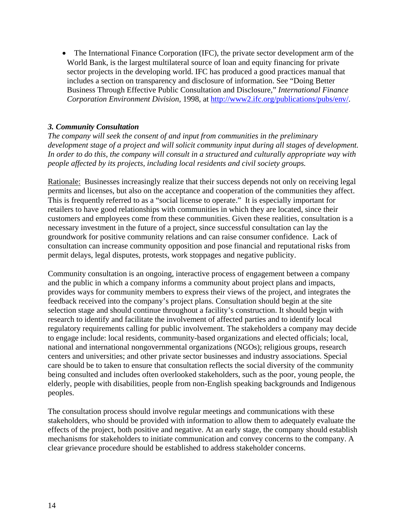• The International Finance Corporation (IFC), the private sector development arm of the World Bank, is the largest multilateral source of loan and equity financing for private sector projects in the developing world. IFC has produced a good practices manual that includes a section on transparency and disclosure of information. See "Doing Better Business Through Effective Public Consultation and Disclosure," *International Finance Corporation Environment Division,* 1998, at<http://www2.ifc.org/publications/pubs/env/>.

#### *3. Community Consultation*

*The company will seek the consent of and input from communities in the preliminary development stage of a project and will solicit community input during all stages of development. In order to do this, the company will consult in a structured and culturally appropriate way with people affected by its projects, including local residents and civil society groups.* 

Rationale: Businesses increasingly realize that their success depends not only on receiving legal permits and licenses, but also on the acceptance and cooperation of the communities they affect. This is frequently referred to as a "social license to operate." It is especially important for retailers to have good relationships with communities in which they are located, since their customers and employees come from these communities. Given these realities, consultation is a necessary investment in the future of a project, since successful consultation can lay the groundwork for positive community relations and can raise consumer confidence. Lack of consultation can increase community opposition and pose financial and reputational risks from permit delays, legal disputes, protests, work stoppages and negative publicity.

Community consultation is an ongoing, interactive process of engagement between a company and the public in which a company informs a community about project plans and impacts, provides ways for community members to express their views of the project, and integrates the feedback received into the company's project plans. Consultation should begin at the site selection stage and should continue throughout a facility's construction. It should begin with research to identify and facilitate the involvement of affected parties and to identify local regulatory requirements calling for public involvement. The stakeholders a company may decide to engage include: local residents, community-based organizations and elected officials; local, national and international nongovernmental organizations (NGOs); religious groups, research centers and universities; and other private sector businesses and industry associations. Special care should be to taken to ensure that consultation reflects the social diversity of the community being consulted and includes often overlooked stakeholders, such as the poor, young people, the elderly, people with disabilities, people from non-English speaking backgrounds and Indigenous peoples.

The consultation process should involve regular meetings and communications with these stakeholders, who should be provided with information to allow them to adequately evaluate the effects of the project, both positive and negative. At an early stage, the company should establish mechanisms for stakeholders to initiate communication and convey concerns to the company. A clear grievance procedure should be established to address stakeholder concerns.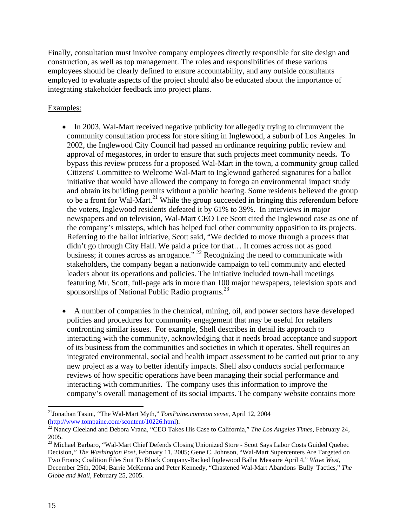Finally, consultation must involve company employees directly responsible for site design and construction, as well as top management. The roles and responsibilities of these various employees should be clearly defined to ensure accountability, and any outside consultants employed to evaluate aspects of the project should also be educated about the importance of integrating stakeholder feedback into project plans.

# Examples:

- In 2003, Wal-Mart received negative publicity for allegedly trying to circumvent the community consultation process for store siting in Inglewood, a suburb of Los Angeles. In 2002, the Inglewood City Council had passed an ordinance requiring public review and approval of megastores, in order to ensure that such projects meet community needs**.** To bypass this review process for a proposed Wal-Mart in the town, a community group called Citizens' Committee to Welcome Wal-Mart to Inglewood gathered signatures for a ballot initiative that would have allowed the company to forego an environmental impact study and obtain its building permits without a public hearing. Some residents believed the group to be a front for Wal-Mart.<sup>21</sup> While the group succeeded in bringing this referendum before the voters, Inglewood residents defeated it by 61% to 39%. In interviews in major newspapers and on television, Wal-Mart CEO Lee Scott cited the Inglewood case as one of the company's missteps, which has helped fuel other community opposition to its projects. Referring to the ballot initiative, Scott said, "We decided to move through a process that didn't go through City Hall. We paid a price for that... It comes across not as good business; it comes across as arrogance." <sup>22</sup> Recognizing the need to communicate with stakeholders, the company began a nationwide campaign to tell community and elected leaders about its operations and policies. The initiative included town-hall meetings featuring Mr. Scott, full-page ads in more than 100 major newspapers, television spots and sponsorships of National Public Radio programs.<sup>23</sup>
- A number of companies in the chemical, mining, oil, and power sectors have developed policies and procedures for community engagement that may be useful for retailers confronting similar issues. For example, Shell describes in detail its approach to interacting with the community, acknowledging that it needs broad acceptance and support of its business from the communities and societies in which it operates. Shell requires an integrated environmental, social and health impact assessment to be carried out prior to any new project as a way to better identify impacts. Shell also conducts social performance reviews of how specific operations have been managing their social performance and interacting with communities. The company uses this information to improve the company's overall management of its social impacts. The company website contains more

<span id="page-18-0"></span> $\overline{a}$ <sup>21</sup>Jonathan Tasini, "The Wal-Mart Myth," *TomPaine.common sense*, April 12, 2004<br>(http://www.tompaine.com/scontent/10226.html).

<span id="page-18-1"></span>Nancy Cleeland and Debora Vrana, "CEO Takes His Case to California," *The Los Angeles Times*, February 24,

<span id="page-18-2"></span><sup>2005. 23</sup> Michael Barbaro, "Wal-Mart Chief Defends Closing Unionized Store - Scott Says Labor Costs Guided Quebec Decision,*" The Washington Post,* February 11, 2005; Gene C. Johnson, "Wal-Mart Supercenters Are Targeted on Two Fronts; Coalition Files Suit To Block Company-Backed Inglewood Ballot Measure April 4," *Wave West*, December 25th, 2004; Barrie McKenna and Peter Kennedy, "Chastened Wal-Mart Abandons 'Bully' Tactics," *The Globe and Mail,* February 25, 2005.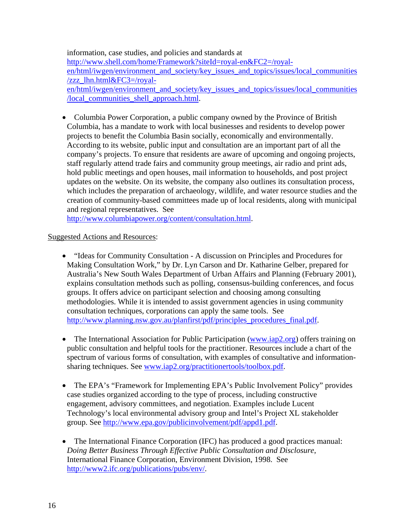information, case studies, and policies and standards at [http://www.shell.com/home/Framework?siteId=royal-en&FC2=/royal](http://www.shell.com/home/Framework?siteId=royal-en&FC2=/royal-en/html/iwgen/environment_and_society/key_issues_and_topics/issues/local_communities/zzz_lhn.html&FC3=/royal-en/html/iwgen/environment_and_society/key_issues_and_topics/issues/local_communities/local_communities_shell_approach.html)[en/html/iwgen/environment\\_and\\_society/key\\_issues\\_and\\_topics/issues/local\\_communities](http://www.shell.com/home/Framework?siteId=royal-en&FC2=/royal-en/html/iwgen/environment_and_society/key_issues_and_topics/issues/local_communities/zzz_lhn.html&FC3=/royal-en/html/iwgen/environment_and_society/key_issues_and_topics/issues/local_communities/local_communities_shell_approach.html) [/zzz\\_lhn.html&FC3=/royal](http://www.shell.com/home/Framework?siteId=royal-en&FC2=/royal-en/html/iwgen/environment_and_society/key_issues_and_topics/issues/local_communities/zzz_lhn.html&FC3=/royal-en/html/iwgen/environment_and_society/key_issues_and_topics/issues/local_communities/local_communities_shell_approach.html)en/html/iwgen/environment and society/key issues and topics/issues/local communities [/local\\_communities\\_shell\\_approach.html](http://www.shell.com/home/Framework?siteId=royal-en&FC2=/royal-en/html/iwgen/environment_and_society/key_issues_and_topics/issues/local_communities/zzz_lhn.html&FC3=/royal-en/html/iwgen/environment_and_society/key_issues_and_topics/issues/local_communities/local_communities_shell_approach.html).

• Columbia Power Corporation, a public company owned by the Province of British Columbia, has a mandate to work with local businesses and residents to develop power projects to benefit the Columbia Basin socially, economically and environmentally. According to its website, public input and consultation are an important part of all the company's projects. To ensure that residents are aware of upcoming and ongoing projects, staff regularly attend trade fairs and community group meetings, air radio and print ads, hold public meetings and open houses, mail information to households, and post project updates on the website. On its website, the company also outlines its consultation process, which includes the preparation of archaeology, wildlife, and water resource studies and the creation of community-based committees made up of local residents, along with municipal and regional representatives. See

[http://www.columbiapower.org/content/consultation.html.](http://www.columbiapower.org/content/consultation.html)

# Suggested Actions and Resources:

- "Ideas for Community Consultation A discussion on Principles and Procedures for Making Consultation Work," by Dr. Lyn Carson and Dr. Katharine Gelber, prepared for Australia's New South Wales Department of Urban Affairs and Planning (February 2001), explains consultation methods such as polling, consensus-building conferences, and focus groups. It offers advice on participant selection and choosing among consulting methodologies. While it is intended to assist government agencies in using community consultation techniques, corporations can apply the same tools. See [http://www.planning.nsw.gov.au/planfirst/pdf/principles\\_procedures\\_final.pdf](http://www.planning.nsw.gov.au/planfirst/pdf/principles_procedures_final.pdf).
- The International Association for Public Participation [\(www.iap2.org\)](http://www.iap2.org/) offers training on public consultation and helpful tools for the practitioner. Resources include a chart of the spectrum of various forms of consultation, with examples of consultative and informationsharing techniques. See [www.iap2.org/practitionertools/toolbox.pdf](http://www.iap2.org/practitionertools/toolbox.pdf).
- The EPA's "Framework for Implementing EPA's Public Involvement Policy" provides case studies organized according to the type of process, including constructive engagement, advisory committees, and negotiation. Examples include Lucent Technology's local environmental advisory group and Intel's Project XL stakeholder group. See [http://www.epa.gov/publicinvolvement/pdf/appd1.pdf.](http://www.epa.gov/publicinvolvement/pdf/appd1.pdf)
- The International Finance Corporation (IFC) has produced a good practices manual: *Doing Better Business Through Effective Public Consultation and Disclosure*, International Finance Corporation, Environment Division, 1998. See <http://www2.ifc.org/publications/pubs/env/>.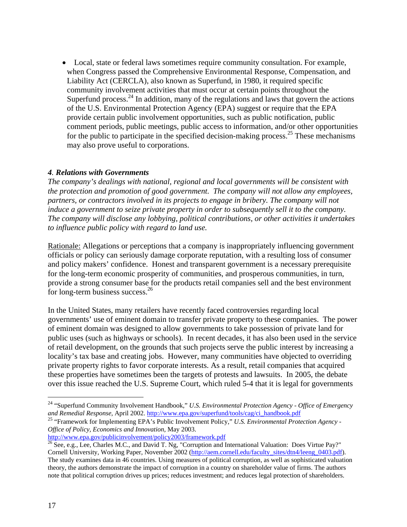• Local, state or federal laws sometimes require community consultation. For example, when Congress passed the Comprehensive Environmental Response, Compensation, and Liability Act (CERCLA), also known as Superfund, in 1980, it required specific community involvement activities that must occur at certain points throughout the Superfund process.<sup>24</sup> In addition, many of the regulations and laws that govern the actions of the U.S. Environmental Protection Agency (EPA) suggest or require that the EPA provide certain public involvement opportunities, such as public notification, public comment periods, public meetings, public access to information, and/or other opportunities for the public to participate in the specified decision-making process.[25](#page-20-1) These mechanisms may also prove useful to corporations.

#### *4. Relations with Governments*

*The company's dealings with national, regional and local governments will be consistent with the protection and promotion of good government. The company will not allow any employees, partners, or contractors involved in its projects to engage in bribery. The company will not induce a government to seize private property in order to subsequently sell it to the company. The company will disclose any lobbying, political contributions, or other activities it undertakes to influence public policy with regard to land use.* 

Rationale: Allegations or perceptions that a company is inappropriately influencing government officials or policy can seriously damage corporate reputation, with a resulting loss of consumer and policy makers' confidence. Honest and transparent government is a necessary prerequisite for the long-term economic prosperity of communities, and prosperous communities, in turn, provide a strong consumer base for the products retail companies sell and the best environment for long-term business success.<sup>26</sup>

In the United States, many retailers have recently faced controversies regarding local governments' use of eminent domain to transfer private property to these companies. The power of eminent domain was designed to allow governments to take possession of private land for public uses (such as highways or schools). In recent decades, it has also been used in the service of retail development, on the grounds that such projects serve the public interest by increasing a locality's tax base and creating jobs. However, many communities have objected to overriding private property rights to favor corporate interests. As a result, retail companies that acquired these properties have sometimes been the targets of protests and lawsuits. In 2005, the debate over this issue reached the U.S. Supreme Court, which ruled 5-4 that it is legal for governments

<u>.</u>

<span id="page-20-0"></span><sup>24 &</sup>quot;Superfund Community Involvement Handbook," *U.S. Environmental Protection Agency - Office of Emergency and Remedial Response*, April 2002. [http://www.epa.gov/superfund/tools/cag/ci\\_handbook.pdf](http://www.epa.gov/superfund/tools/cag/ci_handbook.pdf)

<span id="page-20-1"></span><sup>25 &</sup>quot;Framework for Implementing EPA's Public Involvement Policy," *U.S. Environmental Protection Agency - Office of Policy, Economics and Innovation, May 2003.*<br>http://www.epa.gov/publicinvolvement/policy2003/framework.pdf

<span id="page-20-2"></span> $\frac{26}{26}$  $\frac{26}{26}$  $\frac{26}{26}$  See, e.g., Lee, Charles M.C., and David T. Ng, "Corruption and International Valuation: Does Virtue Pay?" Cornell University, Working Paper, November 2002 [\(http://aem.cornell.edu/faculty\\_sites/dtn4/leeng\\_0403.pdf\)](http://aem.cornell.edu/faculty_sites/dtn4/leeng_0403.pdf). The study examines data in 46 countries. Using measures of political corruption, as well as sophisticated valuation theory, the authors demonstrate the impact of corruption in a country on shareholder value of firms. The authors note that political corruption drives up prices; reduces investment; and reduces legal protection of shareholders.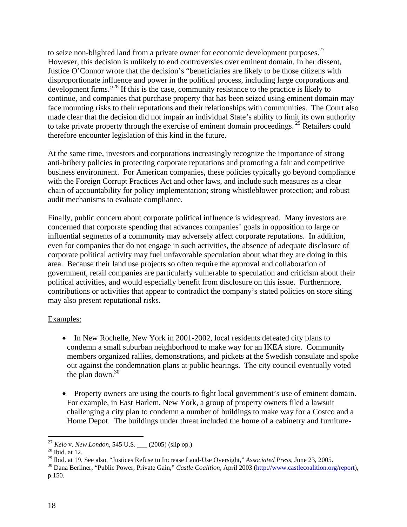to seize non-blighted land from a private owner for economic development purposes. $27$ However, this decision is unlikely to end controversies over eminent domain. In her dissent, Justice O'Connor wrote that the decision's "beneficiaries are likely to be those citizens with disproportionate influence and power in the political process, including large corporations and development firms."[28](#page-21-1) If this is the case, community resistance to the practice is likely to continue, and companies that purchase property that has been seized using eminent domain may face mounting risks to their reputations and their relationships with communities. The Court also made clear that the decision did not impair an individual State's ability to limit its own authority to take private property through the exercise of eminent domain proceedings.<sup>29</sup> Retailers could therefore encounter legislation of this kind in the future.

At the same time, investors and corporations increasingly recognize the importance of strong anti-bribery policies in protecting corporate reputations and promoting a fair and competitive business environment. For American companies, these policies typically go beyond compliance with the Foreign Corrupt Practices Act and other laws, and include such measures as a clear chain of accountability for policy implementation; strong whistleblower protection; and robust audit mechanisms to evaluate compliance.

Finally, public concern about corporate political influence is widespread. Many investors are concerned that corporate spending that advances companies' goals in opposition to large or influential segments of a community may adversely affect corporate reputations. In addition, even for companies that do not engage in such activities, the absence of adequate disclosure of corporate political activity may fuel unfavorable speculation about what they are doing in this area. Because their land use projects so often require the approval and collaboration of government, retail companies are particularly vulnerable to speculation and criticism about their political activities, and would especially benefit from disclosure on this issue. Furthermore, contributions or activities that appear to contradict the company's stated policies on store siting may also present reputational risks.

#### Examples:

- In New Rochelle, New York in 2001-2002, local residents defeated city plans to condemn a small suburban neighborhood to make way for an IKEA store. Community members organized rallies, demonstrations, and pickets at the Swedish consulate and spoke out against the condemnation plans at public hearings. The city council eventually voted the plan down. $30$
- Property owners are using the courts to fight local government's use of eminent domain. For example, in East Harlem, New York, a group of property owners filed a lawsuit challenging a city plan to condemn a number of buildings to make way for a Costco and a Home Depot. The buildings under threat included the home of a cabinetry and furniture-

1

<span id="page-21-0"></span>

<span id="page-21-1"></span>

<span id="page-21-3"></span><span id="page-21-2"></span>

<sup>&</sup>lt;sup>27</sup> Kelo v. New London, 545 U.S. <sub>\_\_\_</sub> (2005) (slip op.)<br><sup>28</sup> Ibid. at 12.<br><sup>29</sup> Ibid. at 19. See also, "Justices Refuse to Increase Land-Use Oversight," Associated Press, June 23, 2005.<br><sup>30</sup> Dana Berliner, "Public Power, p.150.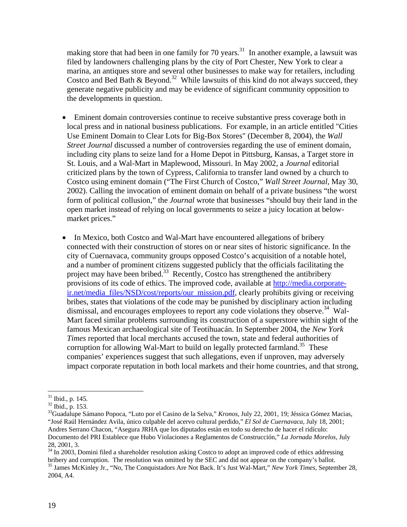making store that had been in one family for 70 years.<sup>31</sup> In another example, a lawsuit was filed by landowners challenging plans by the city of Port Chester, New York to clear a marina, an antiques store and several other businesses to make way for retailers, including Costco and Bed Bath & Beyond.<sup>32</sup> While lawsuits of this kind do not always succeed, they generate negative publicity and may be evidence of significant community opposition to the developments in question.

- Eminent domain controversies continue to receive substantive press coverage both in local press and in national business publications. For example, in an article entitled "Cities Use Eminent Domain to Clear Lots for Big-Box Stores" (December 8, 2004), the *Wall Street Journal* discussed a number of controversies regarding the use of eminent domain, including city plans to seize land for a Home Depot in Pittsburg, Kansas, a Target store in St. Louis, and a Wal-Mart in Maplewood, Missouri. In May 2002, a *Journal* editorial criticized plans by the town of Cypress, California to transfer land owned by a church to Costco using eminent domain ("The First Church of Costco," *Wall Street Journal,* May 30, 2002). Calling the invocation of eminent domain on behalf of a private business "the worst form of political collusion," the *Journal* wrote that businesses "should buy their land in the open market instead of relying on local governments to seize a juicy location at belowmarket prices."
- In Mexico, both Costco and Wal-Mart have encountered allegations of bribery connected with their construction of stores on or near sites of historic significance. In the city of Cuernavaca, community groups opposed Costco's acquisition of a notable hotel, and a number of prominent citizens suggested publicly that the officials facilitating the project may have been bribed.<sup>33</sup> Recently, Costco has strengthened the antibribery provisions of its code of ethics. The improved code, available at [http://media.corporate](http://media.corporate-ir.net/media_files/NSD/cost/reports/our_mission.pdf)[ir.net/media\\_files/NSD/cost/reports/our\\_mission.pdf,](http://media.corporate-ir.net/media_files/NSD/cost/reports/our_mission.pdf) clearly prohibits giving or receiving bribes, states that violations of the code may be punished by disciplinary action including dismissal, and encourages employees to report any code violations they observe.<sup>34</sup> Wal-Mart faced similar problems surrounding its construction of a superstore within sight of the famous Mexican archaeological site of Teotihuacán. In September 2004, the *New York Times* reported that local merchants accused the town, state and federal authorities of corruption for allowing Wal-Mart to build on legally protected farmland.<sup>35</sup> These companies' experiences suggest that such allegations, even if unproven, may adversely impact corporate reputation in both local markets and their home countries, and that strong,

1

<span id="page-22-0"></span>

<span id="page-22-2"></span><span id="page-22-1"></span>

<sup>&</sup>lt;sup>31</sup> Ibid., p. 145.<br><sup>32</sup> Ibid., p. 153.<br><sup>33</sup>Guadalupe Sámano Popoca, "Luto por el Casino de la Selva," *Kronos*, July 22, 2001, 19; Jéssica Gómez Macias, "José Raúl Hernández Avila, único culpable del acervo cultural perdido," *El Sol de Cuernavaca*, July 18, 2001; Andres Serrano Chacon, "Asegura JRHA que los diputados están en todo su derecho de hacer el ridículo: Documento del PRI Establece que Hubo Violaciones a Reglamentos de Construcción," *La Jornada Morelos*, July

<span id="page-22-4"></span><span id="page-22-3"></span><sup>28, 2001, 3.&</sup>lt;br><sup>34</sup> In 2003, Domini filed a shareholder resolution asking Costco to adopt an improved code of ethics addressing<br>bribery and corruption. The resolution was omitted by the SEC and did not appear on the company' <sup>35</sup> James McKinley Jr., "No, The Conquistadors Are Not Back. It's Just Wal-Mart," *New York Times*, September 28, 2004, A4.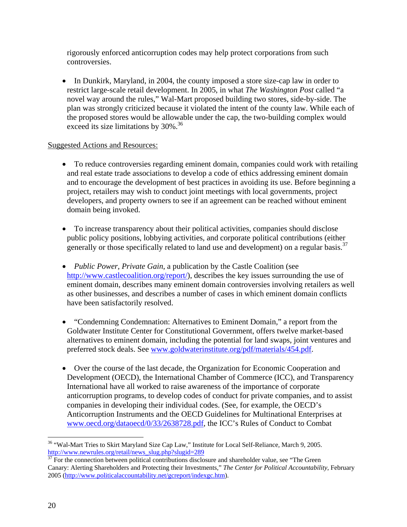rigorously enforced anticorruption codes may help protect corporations from such controversies.

• In Dunkirk, Maryland, in 2004, the county imposed a store size-cap law in order to restrict large-scale retail development. In 2005, in what *The Washington Post* called "a novel way around the rules," Wal-Mart proposed building two stores, side-by-side. The plan was strongly criticized because it violated the intent of the county law. While each of the proposed stores would be allowable under the cap, the two-building complex would exceed its size limitations by 30%.<sup>[36](#page-23-0)</sup>

#### Suggested Actions and Resources:

- To reduce controversies regarding eminent domain, companies could work with retailing and real estate trade associations to develop a code of ethics addressing eminent domain and to encourage the development of best practices in avoiding its use. Before beginning a project, retailers may wish to conduct joint meetings with local governments, project developers, and property owners to see if an agreement can be reached without eminent domain being invoked.
- To increase transparency about their political activities, companies should disclose public policy positions, lobbying activities, and corporate political contributions (either generally or those specifically related to land use and development) on a regular basis.<sup>[37](#page-23-1)</sup>
- *Public Power, Private Gain, a publication by the Castle Coalition (see* <http://www.castlecoalition.org/report/>), describes the key issues surrounding the use of eminent domain, describes many eminent domain controversies involving retailers as well as other businesses, and describes a number of cases in which eminent domain conflicts have been satisfactorily resolved.
- "Condemning Condemnation: Alternatives to Eminent Domain," a report from the Goldwater Institute Center for Constitutional Government, offers twelve market-based alternatives to eminent domain, including the potential for land swaps, joint ventures and preferred stock deals. See [www.goldwaterinstitute.org/pdf/materials/454.pdf.](http://www.goldwaterinstitute.org/pdf/materials/454.pdf)
- Over the course of the last decade, the Organization for Economic Cooperation and Development (OECD), the International Chamber of Commerce (ICC), and Transparency International have all worked to raise awareness of the importance of corporate anticorruption programs, to develop codes of conduct for private companies, and to assist companies in developing their individual codes. (See, for example, the OECD's Anticorruption Instruments and the OECD Guidelines for Multinational Enterprises at [www.oecd.org/dataoecd/0/33/2638728.pdf](http://www.oecd.org/dataoecd/0/33/2638728.pdf), the ICC's Rules of Conduct to Combat

<span id="page-23-0"></span> $\overline{a}$ 36 "Wal-Mart Tries to Skirt Maryland Size Cap Law," Institute for Local Self-Reliance*,* March 9, 2005.  $\frac{http://www.newrules.org/retail/news_slug.php?slugid=289}{^{37}}$  $\frac{http://www.newrules.org/retail/news_slug.php?slugid=289}{^{37}}$  $\frac{http://www.newrules.org/retail/news_slug.php?slugid=289}{^{37}}$  For the connection between political contributions disclosure and shareholder value, see "The Green

<span id="page-23-1"></span>Canary: Alerting Shareholders and Protecting their Investments," *The Center for Political Accountability*, February 2005 ([http://www.politicalaccountability.net/gcreport/indexgc.htm\)](http://www.politicalaccountability.net/gcreport/indexgc.htm).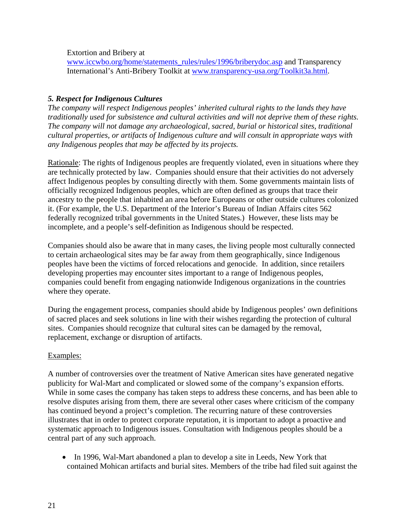Extortion and Bribery at

www.[iccwbo.org/home/statements\\_rules/rules/1996/briberydoc.asp](http://www.iccwbo.org/home/statements_rules/rules/1996/briberydoc.asp) and Transparency International's Anti-Bribery Toolkit at [www.transparency-usa.org/Toolkit3a.html](http://www.transparency-usa.org/Toolkit3a.html).

# *5. Respect for Indigenous Cultures*

*The company will respect Indigenous peoples' inherited cultural rights to the lands they have traditionally used for subsistence and cultural activities and will not deprive them of these rights. The company will not damage any archaeological, sacred, burial or historical sites, traditional cultural properties, or artifacts of Indigenous culture and will consult in appropriate ways with any Indigenous peoples that may be affected by its projects.* 

Rationale: The rights of Indigenous peoples are frequently violated, even in situations where they are technically protected by law. Companies should ensure that their activities do not adversely affect Indigenous peoples by consulting directly with them. Some governments maintain lists of officially recognized Indigenous peoples, which are often defined as groups that trace their ancestry to the people that inhabited an area before Europeans or other outside cultures colonized it. (For example, the U.S. Department of the Interior's Bureau of Indian Affairs cites 562 federally recognized tribal governments in the United States.) However, these lists may be incomplete, and a people's self-definition as Indigenous should be respected.

Companies should also be aware that in many cases, the living people most culturally connected to certain archaeological sites may be far away from them geographically, since Indigenous peoples have been the victims of forced relocations and genocide. In addition, since retailers developing properties may encounter sites important to a range of Indigenous peoples, companies could benefit from engaging nationwide Indigenous organizations in the countries where they operate.

During the engagement process, companies should abide by Indigenous peoples' own definitions of sacred places and seek solutions in line with their wishes regarding the protection of cultural sites. Companies should recognize that cultural sites can be damaged by the removal, replacement, exchange or disruption of artifacts.

#### Examples:

A number of controversies over the treatment of Native American sites have generated negative publicity for Wal-Mart and complicated or slowed some of the company's expansion efforts. While in some cases the company has taken steps to address these concerns, and has been able to resolve disputes arising from them, there are several other cases where criticism of the company has continued beyond a project's completion. The recurring nature of these controversies illustrates that in order to protect corporate reputation, it is important to adopt a proactive and systematic approach to Indigenous issues. Consultation with Indigenous peoples should be a central part of any such approach.

• In 1996, Wal-Mart abandoned a plan to develop a site in Leeds, New York that contained Mohican artifacts and burial sites. Members of the tribe had filed suit against the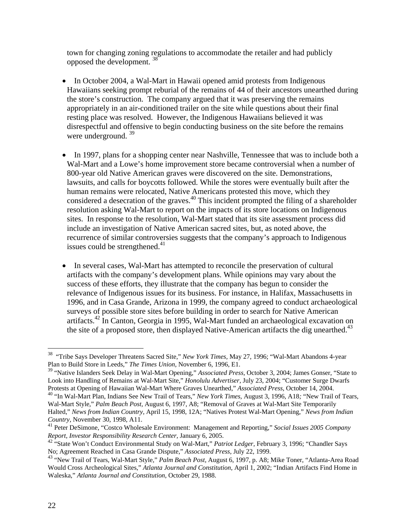town for changing zoning regulations to accommodate the retailer and had publicly opposed the development. [38](#page-25-0)

- In October 2004, a Wal-Mart in Hawaii opened amid protests from Indigenous Hawaiians seeking prompt reburial of the remains of 44 of their ancestors unearthed during the store's construction. The company argued that it was preserving the remains appropriately in an air-conditioned trailer on the site while questions about their final resting place was resolved. However, the Indigenous Hawaiians believed it was disrespectful and offensive to begin conducting business on the site before the remains were underground.<sup>39</sup>
- In 1997, plans for a shopping center near Nashville, Tennessee that was to include both a Wal-Mart and a Lowe's home improvement store became controversial when a number of 800-year old Native American graves were discovered on the site. Demonstrations, lawsuits, and calls for boycotts followed. While the stores were eventually built after the human remains were relocated, Native Americans protested this move, which they considered a desecration of the graves.<sup>40</sup> This incident prompted the filing of a shareholder resolution asking Wal-Mart to report on the impacts of its store locations on Indigenous sites. In response to the resolution, Wal-Mart stated that its site assessment process did include an investigation of Native American sacred sites, but, as noted above, the recurrence of similar controversies suggests that the company's approach to Indigenous issues could be strengthened. $41$
- In several cases, Wal-Mart has attempted to reconcile the preservation of cultural artifacts with the company's development plans. While opinions may vary about the success of these efforts, they illustrate that the company has begun to consider the relevance of Indigenous issues for its business. For instance, in Halifax, Massachusetts in 1996, and in Casa Grande, Arizona in 1999, the company agreed to conduct archaeological surveys of possible store sites before building in order to search for Native American artifacts.<sup>42</sup> In Canton, Georgia in 1995, Wal-Mart funded an archaeological excavation on the site of a proposed store, then displayed Native-American artifacts the dig unearthed.<sup>43</sup>

1

<span id="page-25-0"></span><sup>38 &</sup>quot;Tribe Says Developer Threatens Sacred Site," *New York Times,* May 27, 1996; "Wal-Mart Abandons 4-year Plan to Build Store in Leeds," *The Times Union,* November 6, 1996, E1. <sup>39</sup> "Native Islanders Seek Delay in Wal-Mart Opening," *Associated Press,* October 3, 2004; James Gonser, "State to

<span id="page-25-1"></span>Look into Handling of Remains at Wal-Mart Site," *Honolulu Advertiser,* July 23, 2004; "Customer Surge Dwarfs

<span id="page-25-2"></span><sup>&</sup>lt;sup>40</sup> "In Wal-Mart Plan, Indians See New Trail of Tears," New York Times, August 3, 1996, A18; "New Trail of Tears, Wal-Mart Style," *Palm Beach Post,* August 6, 1997, A8; "Removal of Graves at Wal-Mart Site Temporarily Halted," *News from Indian Country,* April 15, 1998, 12A; "Natives Protest Wal-Mart Opening," *News from Indian*

<span id="page-25-3"></span><sup>&</sup>lt;sup>41</sup> Peter DeSimone, "Costco Wholesale Environment: Management and Reporting," *Social Issues 2005 Company Report, Investor Responsibility Research Center,* January 6, 2005.

<span id="page-25-4"></span><sup>42 &</sup>quot;State Won't Conduct Environmental Study on Wal-Mart," *Patriot Ledger,* February 3, 1996; "Chandler Says No; Agreement Reached in Casa Grande Dispute," *Associated Press,* July 22, 1999.

<span id="page-25-5"></span><sup>43 &</sup>quot;New Trail of Tears, Wal-Mart Style," *Palm Beach Post,* August 6, 1997, p. A8; Mike Toner, "Atlanta-Area Road Would Cross Archeological Sites," *Atlanta Journal and Constitution*, April 1, 2002; "Indian Artifacts Find Home in Waleska," *Atlanta Journal and Constitution*, October 29, 1988.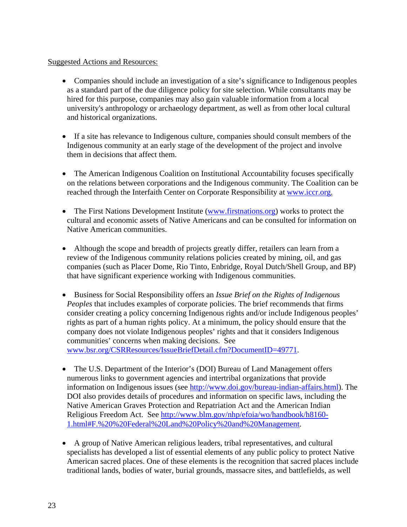#### Suggested Actions and Resources:

- Companies should include an investigation of a site's significance to Indigenous peoples as a standard part of the due diligence policy for site selection. While consultants may be hired for this purpose, companies may also gain valuable information from a local university's anthropology or archaeology department, as well as from other local cultural and historical organizations.
- If a site has relevance to Indigenous culture, companies should consult members of the Indigenous community at an early stage of the development of the project and involve them in decisions that affect them.
- The American Indigenous Coalition on Institutional Accountability focuses specifically on the relations between corporations and the Indigenous community. The Coalition can be reached through the Interfaith Center on Corporate Responsibility at www.iccr.org.
- The First Nations Development Institute ([www.firstnations.org](http://www.firstnations.org/)) works to protect the cultural and economic assets of Native Americans and can be consulted for information on Native American communities.
- Although the scope and breadth of projects greatly differ, retailers can learn from a review of the Indigenous community relations policies created by mining, oil, and gas companies (such as Placer Dome, Rio Tinto, Enbridge, Royal Dutch/Shell Group, and BP) that have significant experience working with Indigenous communities.
- Business for Social Responsibility offers an *Issue Brief on the Rights of Indigenous Peoples* that includes examples of corporate policies. The brief recommends that firms consider creating a policy concerning Indigenous rights and/or include Indigenous peoples' rights as part of a human rights policy. At a minimum, the policy should ensure that the company does not violate Indigenous peoples' rights and that it considers Indigenous communities' concerns when making decisions. See [www.bsr.org/CSRResources/IssueBriefDetail.cfm?DocumentID=49771](http://www.bsr.org/CSRResources/IssueBriefDetail.cfm?DocumentID=49771).
- The U.S. Department of the Interior's (DOI) Bureau of Land Management offers numerous links to government agencies and intertribal organizations that provide information on Indigenous issues (see <http://www.doi.gov/bureau-indian-affairs.html>). The DOI also provides details of procedures and information on specific laws, including the Native American Graves Protection and Repatriation Act and the American Indian Religious Freedom Act. See http://www.blm.gov/nhp/efoia/wo/handbook/h8160- 1.html#F.%20%20Federal%20Land%20Policy%20and%20Management.
- A group of Native American religious leaders, tribal representatives, and cultural specialists has developed a list of essential elements of any public policy to protect Native American sacred places. One of these elements is the recognition that sacred places include traditional lands, bodies of water, burial grounds, massacre sites, and battlefields, as well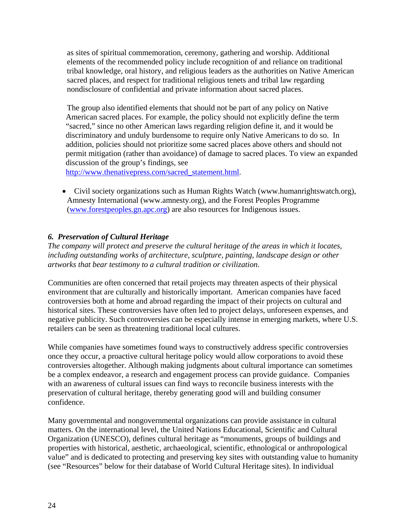as sites of spiritual commemoration, ceremony, gathering and worship. Additional elements of the recommended policy include recognition of and reliance on traditional tribal knowledge, oral history, and religious leaders as the authorities on Native American sacred places, and respect for traditional religious tenets and tribal law regarding nondisclosure of confidential and private information about sacred places.

The group also identified elements that should not be part of any policy on Native American sacred places. For example, the policy should not explicitly define the term "sacred," since no other American laws regarding religion define it, and it would be discriminatory and unduly burdensome to require only Native Americans to do so. In addition, policies should not prioritize some sacred places above others and should not permit mitigation (rather than avoidance) of damage to sacred places. To view an expanded discussion of the group's findings, see

[http://www.thenativepress.com/sacred\\_statement.html.](http://www.thenativepress.com/sacred_statement.html)

• Civil society organizations such as Human Rights Watch (www.humanrightswatch.org), Amnesty International (www.amnesty.org), and the Forest Peoples Programme ([www.forestpeoples.gn.apc.org](http://www.forestpeoples.gn.apc.org/)) are also resources for Indigenous issues.

# *6. Preservation of Cultural Heritage*

*The company will protect and preserve the cultural heritage of the areas in which it locates, including outstanding works of architecture, sculpture, painting, landscape design or other artworks that bear testimony to a cultural tradition or civilization.* 

Communities are often concerned that retail projects may threaten aspects of their physical environment that are culturally and historically important. American companies have faced controversies both at home and abroad regarding the impact of their projects on cultural and historical sites. These controversies have often led to project delays, unforeseen expenses, and negative publicity. Such controversies can be especially intense in emerging markets, where U.S. retailers can be seen as threatening traditional local cultures.

While companies have sometimes found ways to constructively address specific controversies once they occur, a proactive cultural heritage policy would allow corporations to avoid these controversies altogether. Although making judgments about cultural importance can sometimes be a complex endeavor, a research and engagement process can provide guidance. Companies with an awareness of cultural issues can find ways to reconcile business interests with the preservation of cultural heritage, thereby generating good will and building consumer confidence.

Many governmental and nongovernmental organizations can provide assistance in cultural matters. On the international level, the United Nations Educational, Scientific and Cultural Organization (UNESCO), defines cultural heritage as "monuments, groups of buildings and properties with historical, aesthetic, archaeological, scientific, ethnological or anthropological value" and is dedicated to protecting and preserving key sites with outstanding value to humanity (see "Resources" below for their database of World Cultural Heritage sites). In individual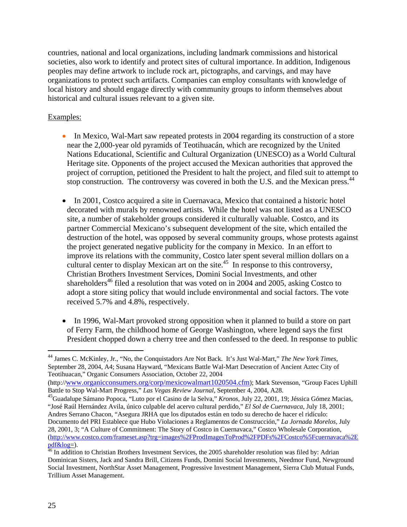countries, national and local organizations, including landmark commissions and historical societies, also work to identify and protect sites of cultural importance. In addition, Indigenous peoples may define artwork to include rock art, pictographs, and carvings, and may have organizations to protect such artifacts. Companies can employ consultants with knowledge of local history and should engage directly with community groups to inform themselves about historical and cultural issues relevant to a given site.

### Examples:

- In Mexico, Wal-Mart saw repeated protests in 2004 regarding its construction of a store near the 2,000-year old pyramids of Teotihuacán, which are recognized by the United Nations Educational, Scientific and Cultural Organization (UNESCO) as a World Cultural Heritage site. Opponents of the project accused the Mexican authorities that approved the project of corruption, petitioned the President to halt the project, and filed suit to attempt to stop construction. The controversy was covered in both the U.S. and the Mexican press.<sup>[44](#page-28-0)</sup>
- In 2001, Costco acquired a site in Cuernavaca, Mexico that contained a historic hotel decorated with murals by renowned artists. While the hotel was not listed as a UNESCO site, a number of stakeholder groups considered it culturally valuable. Costco, and its partner Commercial Mexicano's subsequent development of the site, which entailed the destruction of the hotel, was opposed by several community groups, whose protests against the project generated negative publicity for the company in Mexico. In an effort to improve its relations with the community, Costco later spent several million dollars on a cultural center to display Mexican art on the site.<sup>45</sup> In response to this controversy, Christian Brothers Investment Services, Domini Social Investments, and other shareholders<sup>46</sup> filed a resolution that was voted on in 2004 and 2005, asking Costco to adopt a store siting policy that would include environmental and social factors. The vote received 5.7% and 4.8%, respectively.
- In 1996, Wal-Mart provoked strong opposition when it planned to build a store on part of Ferry Farm, the childhood home of George Washington, where legend says the first President chopped down a cherry tree and then confessed to the deed. In response to public

 $\overline{a}$ 

<span id="page-28-0"></span><sup>44</sup> James C. McKinley, Jr., "No, the Conquistadors Are Not Back. It's Just Wal-Mart," *The New York Times,* September 28, 2004, A4; Susana Hayward, "Mexicans Battle Wal-Mart Desecration of Ancient Aztec City of Teotihuacan," Organic Consumers Association, October 22, 2004

<sup>(</sup>http:/[/www.organicconsumers.org/corp/mexicowalmart1020504.cfm\)](http://www.organicconsumers.org/corp/mexicowalmart1020504.cfm); Mark Stevenson, "Group Faces Uphill Battle to Stop Wal-Mart Progress," *Las Vegas Review Journal,* September 4, 2004, A28.

<span id="page-28-1"></span><sup>45</sup>Guadalupe Sámano Popoca, "Luto por el Casino de la Selva," *Kronos*, July 22, 2001, 19; Jéssica Gómez Macias, "José Raúl Hernández Avila, único culpable del acervo cultural perdido," *El Sol de Cuernavaca*, July 18, 2001; Andres Serrano Chacon, "Asegura JRHA que los diputados están en todo su derecho de hacer el ridículo: Documento del PRI Establece que Hubo Violaciones a Reglamentos de Construcción," *La Jornada Morelos*, July 28, 2001, 3; "A Culture of Commitment: The Story of Costco in Cuernavaca," Costco Wholesale Corporation, [\(http://www.costco.com/frameset.asp?trg=images%2FProdImagesToProd%2FPDFs%2FCostco%5Fcuernavaca%2E](http://www.costco.com/frameset.asp?trg=images%2FProdImagesToProd%2FPDFs%2FCostco%5Fcuernavaca%2Epdf&log)

<span id="page-28-2"></span> $\frac{\text{pdf\&log=}}{46}$  $\frac{\text{pdf\&log=}}{46}$  $\frac{\text{pdf\&log=}}{46}$  In addition to Christian Brothers Investment Services, the 2005 shareholder resolution was filed by: Adrian Dominican Sisters, Jack and Sandra Brill, Citizens Funds, Domini Social Investments, Needmor Fund, Newground Social Investment, NorthStar Asset Management, Progressive Investment Management, Sierra Club Mutual Funds, Trillium Asset Management.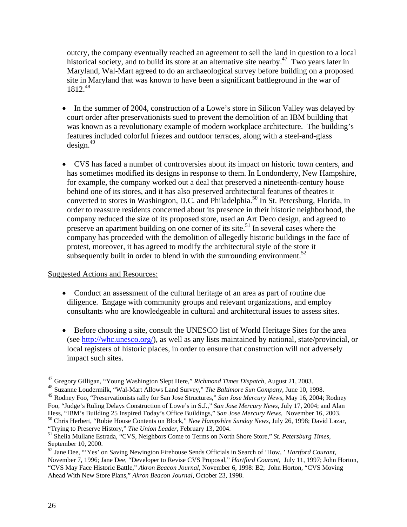outcry, the company eventually reached an agreement to sell the land in question to a local historical society, and to build its store at an alternative site nearby.<sup>47</sup> Two years later in Maryland, Wal-Mart agreed to do an archaeological survey before building on a proposed site in Maryland that was known to have been a significant battleground in the war of 1812.[48](#page-29-1) 

- In the summer of 2004, construction of a Lowe's store in Silicon Valley was delayed by court order after preservationists sued to prevent the demolition of an IBM building that was known as a revolutionary example of modern workplace architecture. The building's features included colorful friezes and outdoor terraces, along with a steel-and-glass  $design.<sup>49</sup>$
- CVS has faced a number of controversies about its impact on historic town centers, and has sometimes modified its designs in response to them. In Londonderry, New Hampshire, for example, the company worked out a deal that preserved a nineteenth-century house behind one of its stores, and it has also preserved architectural features of theatres it converted to stores in Washington, D.C. and Philadelphia.<sup>50</sup> In St. Petersburg, Florida, in order to reassure residents concerned about its presence in their historic neighborhood, the company reduced the size of its proposed store, used an Art Deco design, and agreed to preserve an apartment building on one corner of its site.<sup>51</sup> In several cases where the company has proceeded with the demolition of allegedly historic buildings in the face of protest, moreover, it has agreed to modify the architectural style of the store it subsequently built in order to blend in with the surrounding environment.<sup>52</sup>

Suggested Actions and Resources:

- Conduct an assessment of the cultural heritage of an area as part of routine due diligence. Engage with community groups and relevant organizations, and employ consultants who are knowledgeable in cultural and architectural issues to assess sites.
- Before choosing a site, consult the UNESCO list of World Heritage Sites for the area (see<http://whc.unesco.org/>), as well as any lists maintained by national, state/provincial, or local registers of historic places, in order to ensure that construction will not adversely impact such sites.

<span id="page-29-0"></span><sup>&</sup>lt;sup>47</sup> Gregory Gilligan, "Young Washington Slept Here," Richmond Times Dispatch, August 21, 2003.

<span id="page-29-1"></span><sup>&</sup>lt;sup>48</sup> Suzanne Loudermilk, "Wal-Mart Allows Land Survey," *The Baltimore Sun Company*, June 10, 1998.

<span id="page-29-2"></span><sup>49</sup> Rodney Foo, "Preservationists rally for San Jose Structures," *San Jose Mercury News,* May 16, 2004; Rodney Foo, "Judge's Ruling Delays Construction of Lowe's in S.J.," *San Jose Mercury News,* July 17, 2004; and Alan Hess, "IBM's Building 25 Inspired Today's Office Buildings," *San Jose Mercury News,* November 16, 2003.<br><sup>50</sup> Chris Herbert, "Robie House Contents on Block," *New Hampshire Sunday News, July 26, 1998; David Lazar,* "Trying

<span id="page-29-4"></span><span id="page-29-3"></span><sup>&</sup>lt;sup>51</sup> Shelia Mullane Estrada, "CVS, Neighbors Come to Terms on North Shore Store," *St. Petersburg Times*, September 10, 2000.

<span id="page-29-5"></span>September 10, 2000. 52 Jane Dee, "'Yes' on Saving Newington Firehouse Sends Officials in Search of 'How, ' *Hartford Courant,*  November 7, 1996; Jane Dee, "Developer to Revise CVS Proposal," *Hartford Courant,* July 11, 1997; John Horton, "CVS May Face Historic Battle," *Akron Beacon Journal,* November 6, 1998: B2; John Horton, "CVS Moving Ahead With New Store Plans," *Akron Beacon Journal,* October 23, 1998.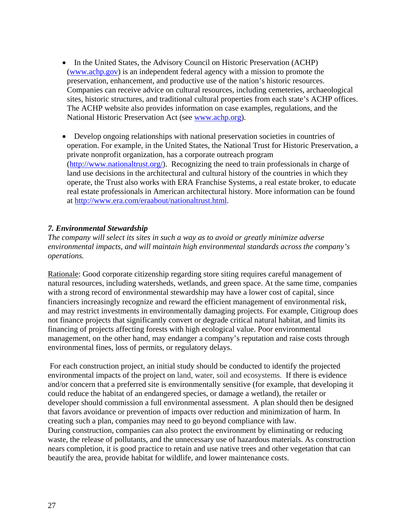- In the United States, the Advisory Council on Historic Preservation (ACHP) ([www.achp.gov](http://www.achp.gov/)) is an independent federal agency with a mission to promote the preservation, enhancement, and productive use of the nation's historic resources. Companies can receive advice on cultural resources, including cemeteries, archaeological sites, historic structures, and traditional cultural properties from each state's ACHP offices. The ACHP website also provides information on case examples, regulations, and the National Historic Preservation Act (see www.achp.org).
- Develop ongoing relationships with national preservation societies in countries of operation. For example, in the United States, the National Trust for Historic Preservation, a private nonprofit organization, has a corporate outreach program ([http://www.nationaltrust.org/\)](http://www.nationaltrust.org/). Recognizing the need to train professionals in charge of land use decisions in the architectural and cultural history of the countries in which they operate, the Trust also works with ERA Franchise Systems, a real estate broker, to educate real estate professionals in American architectural history. More information can be found at<http://www.era.com/eraabout/nationaltrust.html>.

#### *7. Environmental Stewardship*

*The company will select its sites in such a way as to avoid or greatly minimize adverse environmental impacts, and will maintain high environmental standards across the company's operations.* 

Rationale: Good corporate citizenship regarding store siting requires careful management of natural resources, including watersheds, wetlands, and green space. At the same time, companies with a strong record of environmental stewardship may have a lower cost of capital, since financiers increasingly recognize and reward the efficient management of environmental risk, and may restrict investments in environmentally damaging projects. For example, Citigroup does not finance projects that significantly convert or degrade critical natural habitat, and limits its financing of projects affecting forests with high ecological value. Poor environmental management, on the other hand, may endanger a company's reputation and raise costs through environmental fines, loss of permits, or regulatory delays.

 For each construction project, an initial study should be conducted to identify the projected environmental impacts of the project on land, water, soil and ecosystems. If there is evidence and/or concern that a preferred site is environmentally sensitive (for example, that developing it could reduce the habitat of an endangered species, or damage a wetland), the retailer or developer should commission a full environmental assessment. A plan should then be designed that favors avoidance or prevention of impacts over reduction and minimization of harm. In creating such a plan, companies may need to go beyond compliance with law. During construction, companies can also protect the environment by eliminating or reducing waste, the release of pollutants, and the unnecessary use of hazardous materials. As construction nears completion, it is good practice to retain and use native trees and other vegetation that can beautify the area, provide habitat for wildlife, and lower maintenance costs.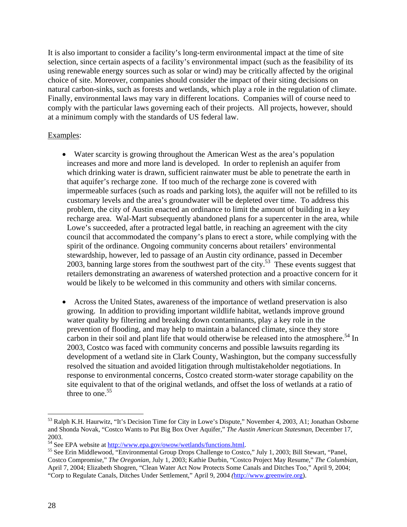It is also important to consider a facility's long-term environmental impact at the time of site selection, since certain aspects of a facility's environmental impact (such as the feasibility of its using renewable energy sources such as solar or wind) may be critically affected by the original choice of site. Moreover, companies should consider the impact of their siting decisions on natural carbon-sinks, such as forests and wetlands, which play a role in the regulation of climate. Finally, environmental laws may vary in different locations. Companies will of course need to comply with the particular laws governing each of their projects. All projects, however, should at a minimum comply with the standards of US federal law.

#### Examples:

- Water scarcity is growing throughout the American West as the area's population increases and more and more land is developed. In order to replenish an aquifer from which drinking water is drawn, sufficient rainwater must be able to penetrate the earth in that aquifer's recharge zone. If too much of the recharge zone is covered with impermeable surfaces (such as roads and parking lots), the aquifer will not be refilled to its customary levels and the area's groundwater will be depleted over time. To address this problem, the city of Austin enacted an ordinance to limit the amount of building in a key recharge area. Wal-Mart subsequently abandoned plans for a supercenter in the area, while Lowe's succeeded, after a protracted legal battle, in reaching an agreement with the city council that accommodated the company's plans to erect a store, while complying with the spirit of the ordinance. Ongoing community concerns about retailers' environmental stewardship, however, led to passage of an Austin city ordinance, passed in December 2003, banning large stores from the southwest part of the city.<sup>53</sup> These events suggest that retailers demonstrating an awareness of watershed protection and a proactive concern for it would be likely to be welcomed in this community and others with similar concerns.
- Across the United States, awareness of the importance of wetland preservation is also growing. In addition to providing important wildlife habitat, wetlands improve ground water quality by filtering and breaking down contaminants, play a key role in the prevention of flooding, and may help to maintain a balanced climate, since they store carbon in their soil and plant life that would otherwise be released into the atmosphere.<sup>54</sup> In 2003, Costco was faced with community concerns and possible lawsuits regarding its development of a wetland site in Clark County, Washington, but the company successfully resolved the situation and avoided litigation through multistakeholder negotiations. In response to environmental concerns, Costco created storm-water storage capability on the site equivalent to that of the original wetlands, and offset the loss of wetlands at a ratio of three to one.  $55$

 $\overline{a}$ 

<span id="page-31-0"></span><sup>53</sup> Ralph K.H. Haurwitz, "It's Decision Time for City in Lowe's Dispute," November 4, 2003, A1; Jonathan Osborne and Shonda Novak, "Costco Wants to Put Big Box Over Aquifer," *The Austin American Statesman,* December 17, 2003.<br><sup>54</sup> See EPA website at <u>http://www.epa.gov/owow/wetlands/functions.html</u>.<br><sup>55</sup> See Erin Middlewood, "Environmental Group Drops Challenge to Costco," July 1, 2003; Bill Stewart, "Panel,

<span id="page-31-1"></span>

<span id="page-31-2"></span>Costco Compromise," *The Oregonian,* July 1, 2003; Kathie Durbin, "Costco Project May Resume," *The Columbian,* April 7, 2004; Elizabeth Shogren, "Clean Water Act Now Protects Some Canals and Ditches Too," April 9, 2004; "Corp to Regulate Canals, Ditches Under Settlement," April 9, 2004 *(*[http://www.greenwire.org](http://www.greenwire.org/)).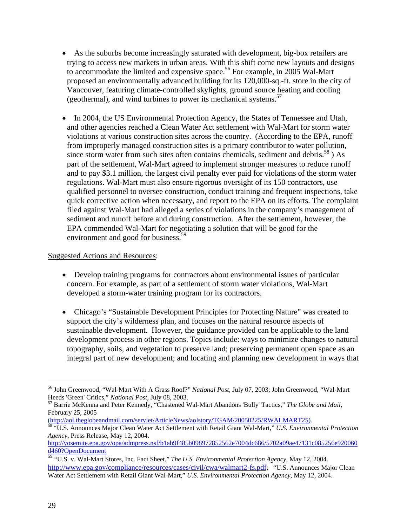- As the suburbs become increasingly saturated with development, big-box retailers are trying to access new markets in urban areas. With this shift come new layouts and designs to accommodate the limited and expensive space.<sup>56</sup> For example, in 2005 Wal-Mart proposed an environmentally advanced building for its 120,000-sq.-ft. store in the city of Vancouver, featuring climate-controlled skylights, ground source heating and cooling (geothermal), and wind turbines to power its mechanical systems.<sup>57</sup>
- In 2004, the US Environmental Protection Agency, the States of Tennessee and Utah, and other agencies reached a Clean Water Act settlement with Wal-Mart for storm water violations at various construction sites across the country. (According to the EPA, runoff from improperly managed construction sites is a primary contributor to water pollution, since storm water from such sites often contains chemicals, sediment and debris.<sup>58</sup>) As part of the settlement, Wal-Mart agreed to implement stronger measures to reduce runoff and to pay \$3.1 million, the largest civil penalty ever paid for violations of the storm water regulations. Wal-Mart must also ensure rigorous oversight of its 150 contractors, use qualified personnel to oversee construction, conduct training and frequent inspections, take quick corrective action when necessary, and report to the EPA on its efforts. The complaint filed against Wal-Mart had alleged a series of violations in the company's management of sediment and runoff before and during construction. After the settlement, however, the EPA commended Wal-Mart for negotiating a solution that will be good for the environment and good for business.<sup>59</sup>

#### Suggested Actions and Resources:

- Develop training programs for contractors about environmental issues of particular concern. For example, as part of a settlement of storm water violations, Wal-Mart developed a storm-water training program for its contractors.
- Chicago's "Sustainable Development Principles for Protecting Nature" was created to support the city's wilderness plan, and focuses on the natural resource aspects of sustainable development. However, the guidance provided can be applicable to the land development process in other regions. Topics include: ways to minimize changes to natural topography, soils, and vegetation to preserve land; preserving permanent open space as an integral part of new development; and locating and planning new development in ways that

[http://yosemite.epa.gov/opa/admpress.nsf/b1ab9f485b098972852562e7004dc686/5702a09ae47131c085256e920060](http://yosemite.epa.gov/opa/admpress.nsf/b1ab9f485b098972852562e7004dc686/5702a09ae47131c085256e920060d460?OpenDocument)<br>d460?OpenDocument

<span id="page-32-0"></span> $\overline{a}$ <sup>56</sup> John Greenwood, "Wal-Mart With A Grass Roof?" *National Post,* July 07, 2003; John Greenwood, "Wal-Mart Heeds 'Green' Critics," *National Post*, July 08, 2003.<br><sup>57</sup> Barrie McKenna and Peter Kennedy, "Chastened Wal-Mart Abandons 'Bully' Tactics," *The Globe and Mail*,

<span id="page-32-1"></span>February 25, 2005<br>
(http://aol.theglobeandmail.com/servlet/ArticleNews/aolstory/TGAM/20050225/RWALMART25).

<span id="page-32-2"></span><sup>&</sup>lt;sup>58</sup> "U.S. Announces Major Clean Water Act Settlement with Retail Giant Wal-Mart," *U.S. Environmental Protection Agency*, Press Release, May 12, 2004.

<span id="page-32-3"></span><sup>&</sup>lt;sup>59</sup> "U.S. v. Wal-Mart Stores, Inc. Fact Sheet," *The U.S. Environmental Protection Agency*, May 12, 2004. [http://www.epa.gov/compliance/resources/cases/civil/cwa/walmart2-fs.pdf;](http://www.epa.gov/compliance/resources/cases/civil/cwa/walmart2-fs.pdf) "U.S. Announces Major Clean Water Act Settlement with Retail Giant Wal-Mart," *U.S. Environmental Protection Agency*, May 12, 2004.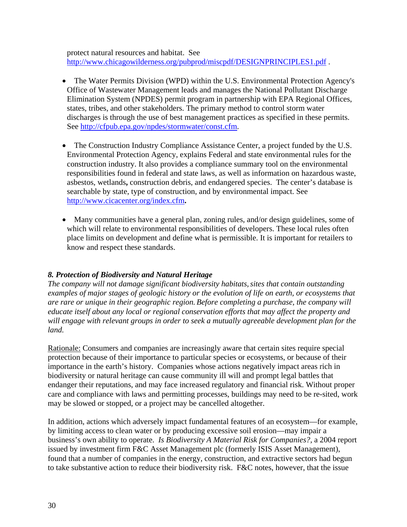protect natural resources and habitat. See <http://www.chicagowilderness.org/pubprod/miscpdf/DESIGNPRINCIPLES1.pdf>.

- The Water Permits Division (WPD) within the U.S. Environmental Protection Agency's Office of Wastewater Management leads and manages the National Pollutant Discharge Elimination System (NPDES) permit program in partnership with EPA Regional Offices, states, tribes, and other stakeholders. The primary method to control storm water discharges is through the use of best management practices as specified in these permits. See [http://cfpub.epa.gov/npdes/stormwater/const.cfm.](http://cfpub.epa.gov/npdes/stormwater/const.cfm)
- The Construction Industry Compliance Assistance Center, a project funded by the U.S. Environmental Protection Agency, explains Federal and state environmental rules for the construction industry. It also provides a compliance summary tool on the environmental responsibilities found in federal and state laws, as well as information on hazardous waste, asbestos, wetlands**,** construction debris, and endangered species. The center's database is searchable by state, type of construction, and by environmental impact. See <http://www.cicacenter.org/index.cfm>**.**
- Many communities have a general plan, zoning rules, and/or design guidelines, some of which will relate to environmental responsibilities of developers. These local rules often place limits on development and define what is permissible. It is important for retailers to know and respect these standards.

#### *8. Protection of Biodiversity and Natural Heritage*

The company will not damage significant biodiversity habitats, sites that contain outstanding *examples of major stages of geologic history or the evolution of life on earth, or ecosystems that are rare or unique in their geographic region. Before completing a purchase, the company will educate itself about any local or regional conservation efforts that may affect the property and will engage with relevant groups in order to seek a mutually agreeable development plan for the land.* 

Rationale: Consumers and companies are increasingly aware that certain sites require special protection because of their importance to particular species or ecosystems, or because of their importance in the earth's history. Companies whose actions negatively impact areas rich in biodiversity or natural heritage can cause community ill will and prompt legal battles that endanger their reputations, and may face increased regulatory and financial risk. Without proper care and compliance with laws and permitting processes, buildings may need to be re-sited, work may be slowed or stopped, or a project may be cancelled altogether.

In addition, actions which adversely impact fundamental features of an ecosystem—for example, by limiting access to clean water or by producing excessive soil erosion—may impair a business's own ability to operate. *Is Biodiversity A Material Risk for Companies?,* a 2004 report issued by investment firm F&C Asset Management plc (formerly ISIS Asset Management), found that a number of companies in the energy, construction, and extractive sectors had begun to take substantive action to reduce their biodiversity risk. F&C notes, however, that the issue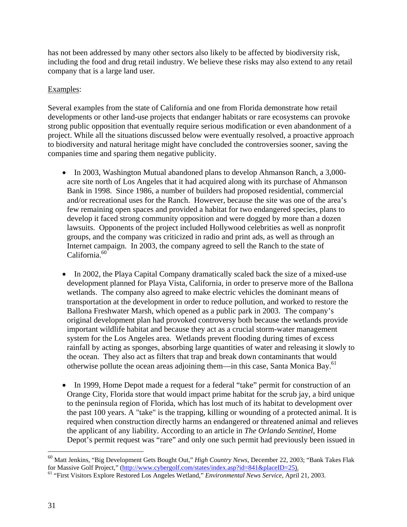has not been addressed by many other sectors also likely to be affected by biodiversity risk, including the food and drug retail industry. We believe these risks may also extend to any retail company that is a large land user.

#### Examples:

Several examples from the state of California and one from Florida demonstrate how retail developments or other land-use projects that endanger habitats or rare ecosystems can provoke strong public opposition that eventually require serious modification or even abandonment of a project. While all the situations discussed below were eventually resolved, a proactive approach to biodiversity and natural heritage might have concluded the controversies sooner, saving the companies time and sparing them negative publicity.

- In 2003, Washington Mutual abandoned plans to develop Ahmanson Ranch, a 3,000acre site north of Los Angeles that it had acquired along with its purchase of Ahmanson Bank in 1998. Since 1986, a number of builders had proposed residential, commercial and/or recreational uses for the Ranch. However, because the site was one of the area's few remaining open spaces and provided a habitat for two endangered species, plans to develop it faced strong community opposition and were dogged by more than a dozen lawsuits. Opponents of the project included Hollywood celebrities as well as nonprofit groups, and the company was criticized in radio and print ads, as well as through an Internet campaign. In 2003, the company agreed to sell the Ranch to the state of California.<sup>[60](#page-34-0)</sup>
- In 2002, the Playa Capital Company dramatically scaled back the size of a mixed-use development planned for Playa Vista, California, in order to preserve more of the Ballona wetlands. The company also agreed to make electric vehicles the dominant means of transportation at the development in order to reduce pollution, and worked to restore the Ballona Freshwater Marsh, which opened as a public park in 2003. The company's original development plan had provoked controversy both because the wetlands provide important wildlife habitat and because they act as a crucial storm-water management system for the Los Angeles area. Wetlands prevent flooding during times of excess rainfall by acting as sponges, absorbing large quantities of water and releasing it slowly to the ocean. They also act as filters that trap and break down contaminants that would otherwise pollute the ocean areas adjoining them—in this case, Santa Monica Bay.<sup>61</sup>
- In 1999, Home Depot made a request for a federal "take" permit for construction of an Orange City, Florida store that would impact prime habitat for the scrub jay, a bird unique to the peninsula region of Florida, which has lost much of its habitat to development over the past 100 years. A "take" is the trapping, killing or wounding of a protected animal. It is required when construction directly harms an endangered or threatened animal and relieves the applicant of any liability. According to an article in *The Orlando Sentinel*, Home Depot's permit request was "rare" and only one such permit had previously been issued in

1

<span id="page-34-0"></span><sup>&</sup>lt;sup>60</sup> Matt Jenkins, "Big Development Gets Bought Out," *High Country News*, December 22, 2003; "Bank Takes Flak for Massive Golf Project," (http://www.cybergolf.com/states/index.asp?id=841&placeID=25).

<span id="page-34-1"></span><sup>&</sup>lt;sup>61</sup> "First Visitors Explore Restored Los Angeles Wetland," *Environmental News Service*, April 21, 2003.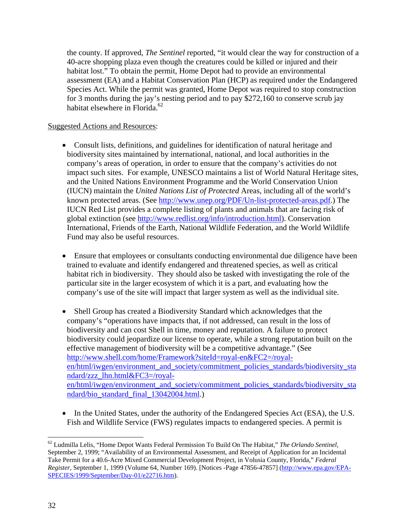the county. If approved, *The Sentinel* reported, "it would clear the way for construction of a 40-acre shopping plaza even though the creatures could be killed or injured and their habitat lost." To obtain the permit, Home Depot had to provide an environmental assessment (EA) and a Habitat Conservation Plan (HCP) as required under the Endangered Species Act. While the permit was granted, Home Depot was required to stop construction for 3 months during the jay's nesting period and to pay \$272,160 to conserve scrub jay habitat elsewhere in Florida.<sup>62</sup>

#### Suggested Actions and Resources:

- Consult lists, definitions, and guidelines for identification of natural heritage and biodiversity sites maintained by international, national, and local authorities in the company's areas of operation, in order to ensure that the company's activities do not impact such sites. For example, UNESCO maintains a list of World Natural Heritage sites, and the United Nations Environment Programme and the World Conservation Union (IUCN) maintain the *United Nations List of Protected* Areas, including all of the world's known protected areas. (See<http://www.unep.org/PDF/Un-list-protected-areas.pdf>.) The IUCN Red List provides a complete listing of plants and animals that are facing risk of global extinction (see<http://www.redlist.org/info/introduction.html>). Conservation International, Friends of the Earth, National Wildlife Federation, and the World Wildlife Fund may also be useful resources.
- Ensure that employees or consultants conducting environmental due diligence have been trained to evaluate and identify endangered and threatened species, as well as critical habitat rich in biodiversity. They should also be tasked with investigating the role of the particular site in the larger ecosystem of which it is a part, and evaluating how the company's use of the site will impact that larger system as well as the individual site.
- Shell Group has created a Biodiversity Standard which acknowledges that the company's "operations have impacts that, if not addressed, can result in the loss of biodiversity and can cost Shell in time, money and reputation. A failure to protect biodiversity could jeopardize our license to operate, while a strong reputation built on the effective management of biodiversity will be a competitive advantage." (See [http://www.shell.com/home/Framework?siteId=royal-en&FC2=/royal](http://www.shell.com/home/Framework?siteId=royal-en&FC2=/royal-en/html/iwgen/environment_and_society/commitment_policies_standards/biodiversity_standard/zzz_lhn.html&FC3=/royal-en/html/iwgen/environment_and_society/commitment_policies_standards/biodiversity_standard/bio_standard_final_13042004.html)[en/html/iwgen/environment\\_and\\_society/commitment\\_policies\\_standards/biodiversity\\_sta](http://www.shell.com/home/Framework?siteId=royal-en&FC2=/royal-en/html/iwgen/environment_and_society/commitment_policies_standards/biodiversity_standard/zzz_lhn.html&FC3=/royal-en/html/iwgen/environment_and_society/commitment_policies_standards/biodiversity_standard/bio_standard_final_13042004.html) [ndard/zzz\\_lhn.html&FC3=/royal](http://www.shell.com/home/Framework?siteId=royal-en&FC2=/royal-en/html/iwgen/environment_and_society/commitment_policies_standards/biodiversity_standard/zzz_lhn.html&FC3=/royal-en/html/iwgen/environment_and_society/commitment_policies_standards/biodiversity_standard/bio_standard_final_13042004.html)[en/html/iwgen/environment\\_and\\_society/commitment\\_policies\\_standards/biodiversity\\_sta](http://www.shell.com/home/Framework?siteId=royal-en&FC2=/royal-en/html/iwgen/environment_and_society/commitment_policies_standards/biodiversity_standard/zzz_lhn.html&FC3=/royal-en/html/iwgen/environment_and_society/commitment_policies_standards/biodiversity_standard/bio_standard_final_13042004.html) [ndard/bio\\_standard\\_final\\_13042004.html](http://www.shell.com/home/Framework?siteId=royal-en&FC2=/royal-en/html/iwgen/environment_and_society/commitment_policies_standards/biodiversity_standard/zzz_lhn.html&FC3=/royal-en/html/iwgen/environment_and_society/commitment_policies_standards/biodiversity_standard/bio_standard_final_13042004.html).)
- In the United States, under the authority of the Endangered Species Act (ESA), the U.S. Fish and Wildlife Service (FWS) regulates impacts to endangered species. A permit is

 $\overline{a}$ 

<span id="page-35-0"></span><sup>62</sup> Ludmilla Lelis, "Home Depot Wants Federal Permission To Build On The Habitat," *The Orlando Sentinel,* September 2, 1999; "Availability of an Environmental Assessment, and Receipt of Application for an Incidental Take Permit for a 40.6-Acre Mixed Commercial Development Project, in Volusia County, Florida," *Federal Register,* September 1, 1999 (Volume 64, Number 169). [Notices -Page 47856-47857] ([http://www.epa.gov/EPA-](http://www.epa.gov/EPA-SPECIES/1999/September/Day-01/e22716.htm)[SPECIES/1999/September/Day-01/e22716.htm](http://www.epa.gov/EPA-SPECIES/1999/September/Day-01/e22716.htm)).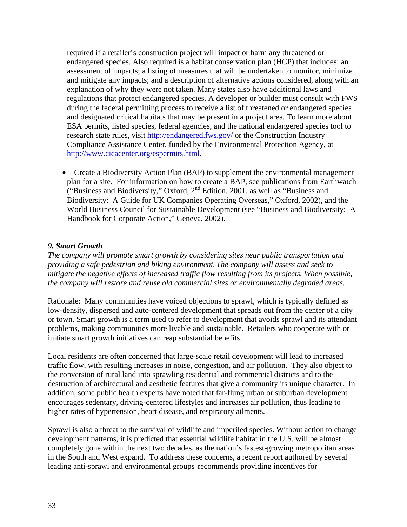required if a retailer's construction project will impact or harm any threatened or endangered species. Also required is a habitat conservation plan (HCP) that includes: an assessment of impacts; a listing of measures that will be undertaken to monitor, minimize and mitigate any impacts; and a description of alternative actions considered, along with an explanation of why they were not taken. Many states also have additional laws and regulations that protect endangered species. A developer or builder must consult with FWS during the federal permitting process to receive a list of threatened or endangered species and designated critical habitats that may be present in a project area. To learn more about ESA permits, listed species, federal agencies, and the national endangered species tool to research state rules, visit <http://endangered.fws.gov/> or the Construction Industry Compliance Assistance Center, funded by the Environmental Protection Agency, at <http://www.cicacenter.org/espermits.html>.

• Create a Biodiversity Action Plan (BAP) to supplement the environmental management plan for a site. For information on how to create a BAP, see publications from Earthwatch ("Business and Biodiversity," Oxford,  $2<sup>nd</sup>$  Edition, 2001, as well as "Business and Biodiversity: A Guide for UK Companies Operating Overseas," Oxford, 2002), and the World Business Council for Sustainable Development (see "Business and Biodiversity: A Handbook for Corporate Action," Geneva, 2002).

#### *9. Smart Growth*

*The company will promote smart growth by considering sites near public transportation and providing a safe pedestrian and biking environment. The company will assess and seek to mitigate the negative effects of increased traffic flow resulting from its projects. When possible, the company will restore and reuse old commercial sites or environmentally degraded areas.* 

Rationale: Many communities have voiced objections to sprawl, which is typically defined as low-density, dispersed and auto-centered development that spreads out from the center of a city or town. Smart growth is a term used to refer to development that avoids sprawl and its attendant problems, making communities more livable and sustainable. Retailers who cooperate with or initiate smart growth initiatives can reap substantial benefits.

Local residents are often concerned that large-scale retail development will lead to increased traffic flow, with resulting increases in noise, congestion, and air pollution. They also object to the conversion of rural land into sprawling residential and commercial districts and to the destruction of architectural and aesthetic features that give a community its unique character. In addition, some public health experts have noted that far-flung urban or suburban development encourages sedentary, driving-centered lifestyles and increases air pollution, thus leading to higher rates of hypertension, heart disease, and respiratory ailments.

Sprawl is also a threat to the survival of wildlife and imperiled species. Without action to change development patterns, it is predicted that essential wildlife habitat in the U.S. will be almost completely gone within the next two decades, as the nation's fastest-growing metropolitan areas in the South and West expand. To address these concerns, a recent report authored by several leading anti-sprawl and environmental groups recommends providing incentives for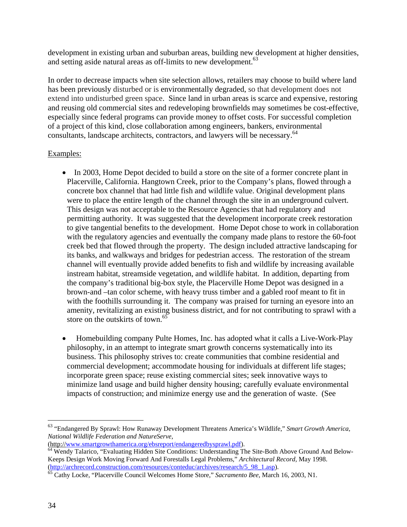development in existing urban and suburban areas, building new development at higher densities, and setting aside natural areas as off-limits to new development.<sup>[63](#page-37-0)</sup>

In order to decrease impacts when site selection allows, retailers may choose to build where land has been previously disturbed or is environmentally degraded, so that development does not extend into undisturbed green space. Since land in urban areas is scarce and expensive, restoring and reusing old commercial sites and redeveloping brownfields may sometimes be cost-effective, especially since federal programs can provide money to offset costs. For successful completion of a project of this kind, close collaboration among engineers, bankers, environmental consultants, landscape architects, contractors, and lawyers will be necessary.<sup>64</sup>

#### Examples:

- In 2003, Home Depot decided to build a store on the site of a former concrete plant in Placerville, California. Hangtown Creek, prior to the Company's plans, flowed through a concrete box channel that had little fish and wildlife value. Original development plans were to place the entire length of the channel through the site in an underground culvert. This design was not acceptable to the Resource Agencies that had regulatory and permitting authority. It was suggested that the development incorporate creek restoration to give tangential benefits to the development. Home Depot chose to work in collaboration with the regulatory agencies and eventually the company made plans to restore the 60-foot creek bed that flowed through the property. The design included attractive landscaping for its banks, and walkways and bridges for pedestrian access. The restoration of the stream channel will eventually provide added benefits to fish and wildlife by increasing available instream habitat, streamside vegetation, and wildlife habitat. In addition, departing from the company's traditional big-box style, the Placerville Home Depot was designed in a brown-and –tan color scheme, with heavy truss timber and a gabled roof meant to fit in with the foothills surrounding it. The company was praised for turning an eyesore into an amenity, revitalizing an existing business district, and for not contributing to sprawl with a store on the outskirts of town.<sup>65</sup>
- Homebuilding company Pulte Homes, Inc. has adopted what it calls a Live-Work-Play philosophy, in an attempt to integrate smart growth concerns systematically into its business. This philosophy strives to: create communities that combine residential and commercial development; accommodate housing for individuals at different life stages; incorporate green space; reuse existing commercial sites; seek innovative ways to minimize land usage and build higher density housing; carefully evaluate environmental impacts of construction; and minimize energy use and the generation of waste. (See

 $\overline{a}$ 

<span id="page-37-0"></span><sup>63 &</sup>quot;Endangered By Sprawl: How Runaway Development Threatens America's Wildlife," *Smart Growth America, National Wildlife Federation and NatureServe*,

<span id="page-37-1"></span>

<sup>(</sup>http:/[/www.smartgrowthamerica.org/ebsreport/endangeredbysprawl.pdf\)](http://www.smartgrowthamerica.org/ebsreport/endangeredbysprawl.pdf). 64 Wendy Talarico, "Evaluating Hidden Site Conditions: Understanding The Site-Both Above Ground And Below-Keeps Design Work Moving Forward And Forestalls Legal Problems," *Architectural Record,* May 1998. [\(http://archrecord.construction.com/resources/conteduc/archives/research/5\\_98\\_1.asp\)](http://archrecord.construction.com/resources/conteduc/archives/research/5_98_1.asp).

<span id="page-37-2"></span><sup>65</sup> Cathy Locke, "Placerville Council Welcomes Home Store," *Sacramento Bee,* March 16, 2003, N1.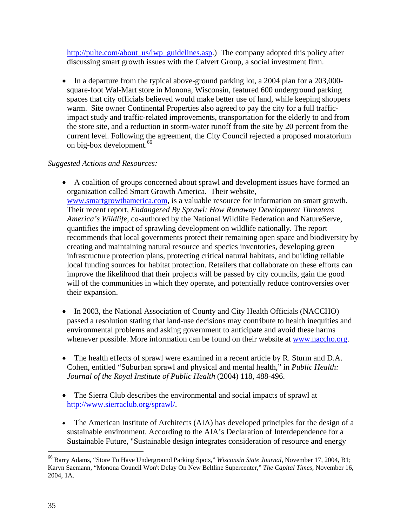[http://pulte.com/about\\_us/lwp\\_guidelines.asp](http://pulte.com/about_us/lwp_guidelines.asp).) The company adopted this policy after discussing smart growth issues with the Calvert Group, a social investment firm.

• In a departure from the typical above-ground parking lot, a 2004 plan for a 203,000square-foot Wal-Mart store in Monona, Wisconsin, featured 600 underground parking spaces that city officials believed would make better use of land, while keeping shoppers warm. Site owner Continental Properties also agreed to pay the city for a full trafficimpact study and traffic-related improvements, transportation for the elderly to and from the store site, and a reduction in storm-water runoff from the site by 20 percent from the current level. Following the agreement, the City Council rejected a proposed moratorium on big-box development.<sup>66</sup>

#### *Suggested Actions and Resources:*

- A coalition of groups concerned about sprawl and development issues have formed an organization called Smart Growth America. Their website, www.smartgrowthamerica.com, is a valuable resource for information on smart growth. Their recent report, *Endangered By Sprawl: How Runaway Development Threatens America's Wildlife*, co-authored by the National Wildlife Federation and NatureServe, quantifies the impact of sprawling development on wildlife nationally. The report recommends that local governments protect their remaining open space and biodiversity by creating and maintaining natural resource and species inventories, developing green infrastructure protection plans, protecting critical natural habitats, and building reliable local funding sources for habitat protection. Retailers that collaborate on these efforts can improve the likelihood that their projects will be passed by city councils, gain the good will of the communities in which they operate, and potentially reduce controversies over their expansion.
- In 2003, the National Association of County and City Health Officials (NACCHO) passed a resolution stating that land-use decisions may contribute to health inequities and environmental problems and asking government to anticipate and avoid these harms whenever possible. More information can be found on their website at [www.naccho.org.](http://www.naccho.org/)
- The health effects of sprawl were examined in a recent article by R. Sturm and D.A. Cohen, entitled "Suburban sprawl and physical and mental health," in *Public Health: Journal of the Royal Institute of Public Health* (2004) 118, 488-496.
- The Sierra Club describes the environmental and social impacts of sprawl at <http://www.sierraclub.org/sprawl/>.
- The American Institute of Architects (AIA) has developed principles for the design of a sustainable environment. According to the AIA's Declaration of Interdependence for a Sustainable Future, "Sustainable design integrates consideration of resource and energy

1

<span id="page-38-0"></span><sup>66</sup> Barry Adams, "Store To Have Underground Parking Spots," *Wisconsin State Journal,* November 17, 2004, B1; Karyn Saemann, "Monona Council Won't Delay On New Beltline Supercenter," *The Capital Times,* November 16, 2004, 1A.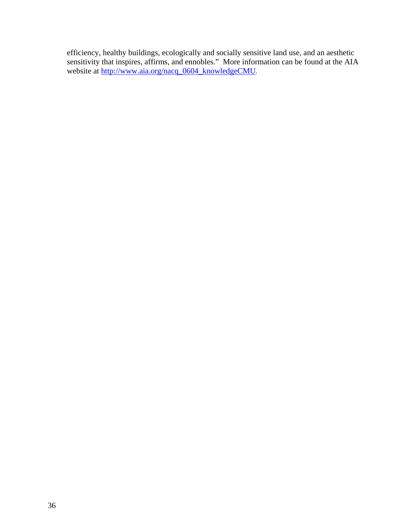efficiency, healthy buildings, ecologically and socially sensitive land use, and an aesthetic sensitivity that inspires, affirms, and ennobles." More information can be found at the AIA website at [http://www.aia.org/nacq\\_0604\\_knowledgeCMU.](http://www.aia.org/nacq_0604_knowledgeCMU)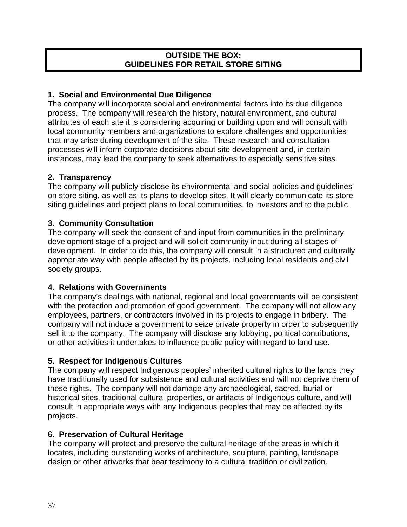# **OUTSIDE THE BOX: GUIDELINES FOR RETAIL STORE SITING**

# **1. Social and Environmental Due Diligence**

The company will incorporate social and environmental factors into its due diligence process. The company will research the history, natural environment, and cultural attributes of each site it is considering acquiring or building upon and will consult with local community members and organizations to explore challenges and opportunities that may arise during development of the site. These research and consultation processes will inform corporate decisions about site development and, in certain instances, may lead the company to seek alternatives to especially sensitive sites.

# **2. Transparency**

The company will publicly disclose its environmental and social policies and guidelines on store siting, as well as its plans to develop sites. It will clearly communicate its store siting guidelines and project plans to local communities, to investors and to the public.

# **3. Community Consultation**

The company will seek the consent of and input from communities in the preliminary development stage of a project and will solicit community input during all stages of development. In order to do this, the company will consult in a structured and culturally appropriate way with people affected by its projects, including local residents and civil society groups.

# **4**. **Relations with Governments**

The company's dealings with national, regional and local governments will be consistent with the protection and promotion of good government. The company will not allow any employees, partners, or contractors involved in its projects to engage in bribery. The company will not induce a government to seize private property in order to subsequently sell it to the company. The company will disclose any lobbying, political contributions, or other activities it undertakes to influence public policy with regard to land use.

# **5. Respect for Indigenous Cultures**

The company will respect Indigenous peoples' inherited cultural rights to the lands they have traditionally used for subsistence and cultural activities and will not deprive them of these rights. The company will not damage any archaeological, sacred, burial or historical sites, traditional cultural properties, or artifacts of Indigenous culture, and will consult in appropriate ways with any Indigenous peoples that may be affected by its projects.

# **6. Preservation of Cultural Heritage**

The company will protect and preserve the cultural heritage of the areas in which it locates, including outstanding works of architecture, sculpture, painting, landscape design or other artworks that bear testimony to a cultural tradition or civilization.